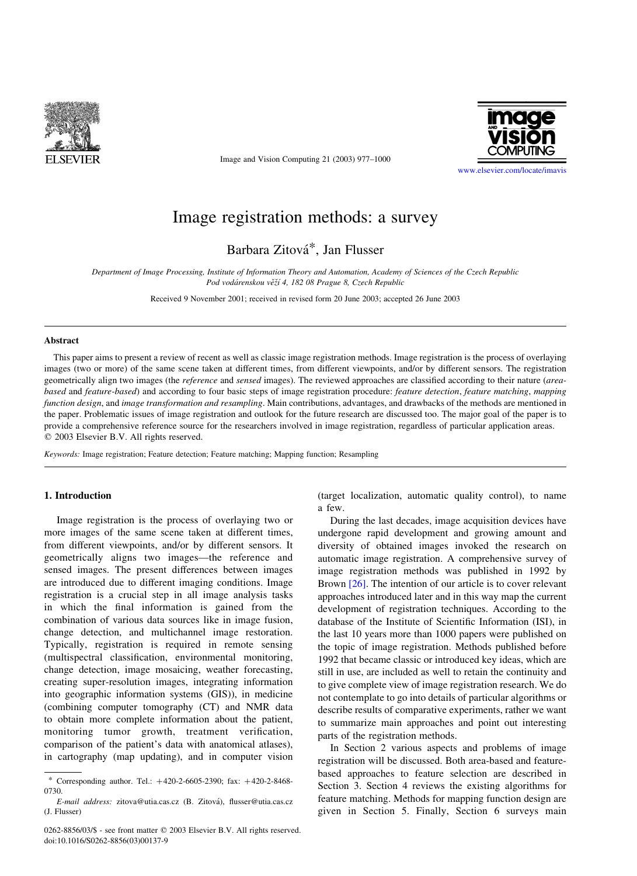

Image and Vision Computing 21 (2003) 977–1000



# Image registration methods: a survey

Barbara Zitová<sup>\*</sup>, Jan Flusser

Department of Image Processing, Institute of Information Theory and Automation, Academy of Sciences of the Czech Republic Pod vodárenskou věží 4, 182 08 Prague 8, Czech Republic

Received 9 November 2001; received in revised form 20 June 2003; accepted 26 June 2003

## Abstract

This paper aims to present a review of recent as well as classic image registration methods. Image registration is the process of overlaying images (two or more) of the same scene taken at different times, from different viewpoints, and/or by different sensors. The registration geometrically align two images (the *reference* and *sensed* images). The reviewed approaches are classified according to their nature (*area*based and feature-based) and according to four basic steps of image registration procedure: feature detection, feature matching, mapping function design, and image transformation and resampling. Main contributions, advantages, and drawbacks of the methods are mentioned in the paper. Problematic issues of image registration and outlook for the future research are discussed too. The major goal of the paper is to provide a comprehensive reference source for the researchers involved in image registration, regardless of particular application areas.  $Q$  2003 Elsevier B.V. All rights reserved.

Keywords: Image registration; Feature detection; Feature matching; Mapping function; Resampling

# 1. Introduction

Image registration is the process of overlaying two or more images of the same scene taken at different times, from different viewpoints, and/or by different sensors. It geometrically aligns two images—the reference and sensed images. The present differences between images are introduced due to different imaging conditions. Image registration is a crucial step in all image analysis tasks in which the final information is gained from the combination of various data sources like in image fusion, change detection, and multichannel image restoration. Typically, registration is required in remote sensing (multispectral classification, environmental monitoring, change detection, image mosaicing, weather forecasting, creating super-resolution images, integrating information into geographic information systems (GIS)), in medicine (combining computer tomography (CT) and NMR data to obtain more complete information about the patient, monitoring tumor growth, treatment verification, comparison of the patient's data with anatomical atlases), in cartography (map updating), and in computer vision (target localization, automatic quality control), to name a few.

During the last decades, image acquisition devices have undergone rapid development and growing amount and diversity of obtained images invoked the research on automatic image registration. A comprehensive survey of image registration methods was published in 1992 by Brown [\[26\].](#page-19-0) The intention of our article is to cover relevant approaches introduced later and in this way map the current development of registration techniques. According to the database of the Institute of Scientific Information (ISI), in the last 10 years more than 1000 papers were published on the topic of image registration. Methods published before 1992 that became classic or introduced key ideas, which are still in use, are included as well to retain the continuity and to give complete view of image registration research. We do not contemplate to go into details of particular algorithms or describe results of comparative experiments, rather we want to summarize main approaches and point out interesting parts of the registration methods.

In Section 2 various aspects and problems of image registration will be discussed. Both area-based and featurebased approaches to feature selection are described in Section 3. Section 4 reviews the existing algorithms for feature matching. Methods for mapping function design are given in Section 5. Finally, Section 6 surveys main

<sup>\*</sup> Corresponding author. Tel.:  $+420-2-6605-2390$ ; fax:  $+420-2-8468-$ 0730.

E-mail address: zitova@utia.cas.cz (B. Zitová), flusser@utia.cas.cz (J. Flusser)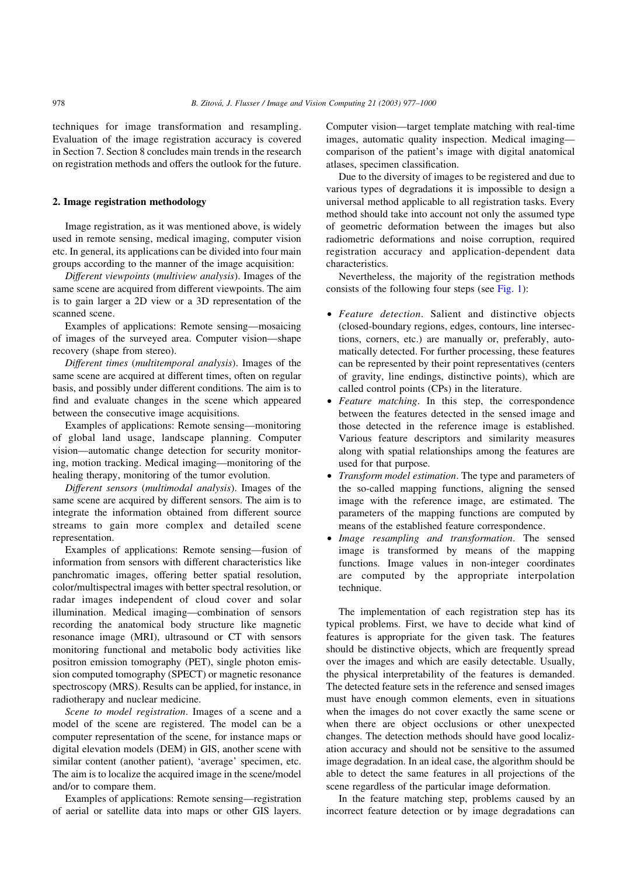techniques for image transformation and resampling. Evaluation of the image registration accuracy is covered in Section 7. Section 8 concludes main trends in the research on registration methods and offers the outlook for the future.

# 2. Image registration methodology

Image registration, as it was mentioned above, is widely used in remote sensing, medical imaging, computer vision etc. In general, its applications can be divided into four main groups according to the manner of the image acquisition:

Different viewpoints (multiview analysis). Images of the same scene are acquired from different viewpoints. The aim is to gain larger a 2D view or a 3D representation of the scanned scene.

Examples of applications: Remote sensing—mosaicing of images of the surveyed area. Computer vision—shape recovery (shape from stereo).

Different times (multitemporal analysis). Images of the same scene are acquired at different times, often on regular basis, and possibly under different conditions. The aim is to find and evaluate changes in the scene which appeared between the consecutive image acquisitions.

Examples of applications: Remote sensing—monitoring of global land usage, landscape planning. Computer vision—automatic change detection for security monitoring, motion tracking. Medical imaging—monitoring of the healing therapy, monitoring of the tumor evolution.

Different sensors (multimodal analysis). Images of the same scene are acquired by different sensors. The aim is to integrate the information obtained from different source streams to gain more complex and detailed scene representation.

Examples of applications: Remote sensing—fusion of information from sensors with different characteristics like panchromatic images, offering better spatial resolution, color/multispectral images with better spectral resolution, or radar images independent of cloud cover and solar illumination. Medical imaging—combination of sensors recording the anatomical body structure like magnetic resonance image (MRI), ultrasound or CT with sensors monitoring functional and metabolic body activities like positron emission tomography (PET), single photon emission computed tomography (SPECT) or magnetic resonance spectroscopy (MRS). Results can be applied, for instance, in radiotherapy and nuclear medicine.

Scene to model registration. Images of a scene and a model of the scene are registered. The model can be a computer representation of the scene, for instance maps or digital elevation models (DEM) in GIS, another scene with similar content (another patient), 'average' specimen, etc. The aim is to localize the acquired image in the scene/model and/or to compare them.

Examples of applications: Remote sensing—registration of aerial or satellite data into maps or other GIS layers.

Computer vision—target template matching with real-time images, automatic quality inspection. Medical imaging comparison of the patient's image with digital anatomical atlases, specimen classification.

Due to the diversity of images to be registered and due to various types of degradations it is impossible to design a universal method applicable to all registration tasks. Every method should take into account not only the assumed type of geometric deformation between the images but also radiometric deformations and noise corruption, required registration accuracy and application-dependent data characteristics.

Nevertheless, the majority of the registration methods consists of the following four steps (see [Fig. 1](#page-2-0)):

- Feature detection. Salient and distinctive objects (closed-boundary regions, edges, contours, line intersections, corners, etc.) are manually or, preferably, automatically detected. For further processing, these features can be represented by their point representatives (centers of gravity, line endings, distinctive points), which are called control points (CPs) in the literature.
- Feature matching. In this step, the correspondence between the features detected in the sensed image and those detected in the reference image is established. Various feature descriptors and similarity measures along with spatial relationships among the features are used for that purpose.
- † Transform model estimation. The type and parameters of the so-called mapping functions, aligning the sensed image with the reference image, are estimated. The parameters of the mapping functions are computed by means of the established feature correspondence.
- Image resampling and transformation. The sensed image is transformed by means of the mapping functions. Image values in non-integer coordinates are computed by the appropriate interpolation technique.

The implementation of each registration step has its typical problems. First, we have to decide what kind of features is appropriate for the given task. The features should be distinctive objects, which are frequently spread over the images and which are easily detectable. Usually, the physical interpretability of the features is demanded. The detected feature sets in the reference and sensed images must have enough common elements, even in situations when the images do not cover exactly the same scene or when there are object occlusions or other unexpected changes. The detection methods should have good localization accuracy and should not be sensitive to the assumed image degradation. In an ideal case, the algorithm should be able to detect the same features in all projections of the scene regardless of the particular image deformation.

In the feature matching step, problems caused by an incorrect feature detection or by image degradations can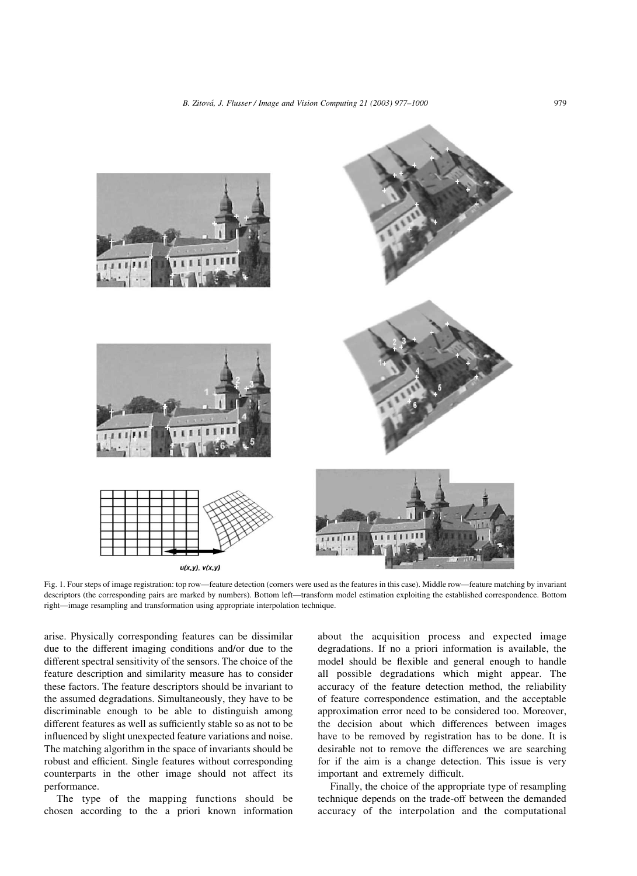<span id="page-2-0"></span>

Fig. 1. Four steps of image registration: top row—feature detection (corners were used as the features in this case). Middle row—feature matching by invariant descriptors (the corresponding pairs are marked by numbers). Bottom left—transform model estimation exploiting the established correspondence. Bottom right—image resampling and transformation using appropriate interpolation technique.

arise. Physically corresponding features can be dissimilar due to the different imaging conditions and/or due to the different spectral sensitivity of the sensors. The choice of the feature description and similarity measure has to consider these factors. The feature descriptors should be invariant to the assumed degradations. Simultaneously, they have to be discriminable enough to be able to distinguish among different features as well as sufficiently stable so as not to be influenced by slight unexpected feature variations and noise. The matching algorithm in the space of invariants should be robust and efficient. Single features without corresponding counterparts in the other image should not affect its performance.

The type of the mapping functions should be chosen according to the a priori known information

about the acquisition process and expected image degradations. If no a priori information is available, the model should be flexible and general enough to handle all possible degradations which might appear. The accuracy of the feature detection method, the reliability of feature correspondence estimation, and the acceptable approximation error need to be considered too. Moreover, the decision about which differences between images have to be removed by registration has to be done. It is desirable not to remove the differences we are searching for if the aim is a change detection. This issue is very important and extremely difficult.

Finally, the choice of the appropriate type of resampling technique depends on the trade-off between the demanded accuracy of the interpolation and the computational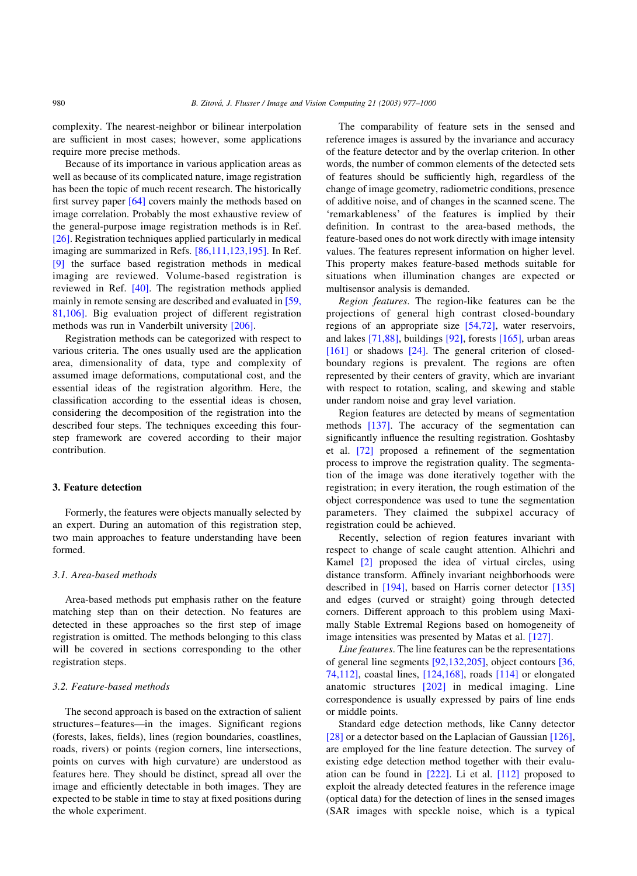complexity. The nearest-neighbor or bilinear interpolation are sufficient in most cases; however, some applications require more precise methods.

Because of its importance in various application areas as well as because of its complicated nature, image registration has been the topic of much recent research. The historically first survey paper [\[64\]](#page-20-0) covers mainly the methods based on image correlation. Probably the most exhaustive review of the general-purpose image registration methods is in Ref. [\[26\]](#page-19-0). Registration techniques applied particularly in medical imaging are summarized in Refs. [\[86,111,123,195\]](#page-20-0). In Ref. [\[9\]](#page-18-0) the surface based registration methods in medical imaging are reviewed. Volume-based registration is reviewed in Ref. [\[40\]](#page-19-0). The registration methods applied mainly in remote sensing are described and evaluated in [\[59,](#page-20-0) [81,106\]](#page-20-0). Big evaluation project of different registration methods was run in Vanderbilt university [\[206\].](#page-23-0)

Registration methods can be categorized with respect to various criteria. The ones usually used are the application area, dimensionality of data, type and complexity of assumed image deformations, computational cost, and the essential ideas of the registration algorithm. Here, the classification according to the essential ideas is chosen, considering the decomposition of the registration into the described four steps. The techniques exceeding this fourstep framework are covered according to their major contribution.

## 3. Feature detection

Formerly, the features were objects manually selected by an expert. During an automation of this registration step, two main approaches to feature understanding have been formed.

# 3.1. Area-based methods

Area-based methods put emphasis rather on the feature matching step than on their detection. No features are detected in these approaches so the first step of image registration is omitted. The methods belonging to this class will be covered in sections corresponding to the other registration steps.

## 3.2. Feature-based methods

The second approach is based on the extraction of salient structures–features—in the images. Significant regions (forests, lakes, fields), lines (region boundaries, coastlines, roads, rivers) or points (region corners, line intersections, points on curves with high curvature) are understood as features here. They should be distinct, spread all over the image and efficiently detectable in both images. They are expected to be stable in time to stay at fixed positions during the whole experiment.

The comparability of feature sets in the sensed and reference images is assured by the invariance and accuracy of the feature detector and by the overlap criterion. In other words, the number of common elements of the detected sets of features should be sufficiently high, regardless of the change of image geometry, radiometric conditions, presence of additive noise, and of changes in the scanned scene. The 'remarkableness' of the features is implied by their definition. In contrast to the area-based methods, the feature-based ones do not work directly with image intensity values. The features represent information on higher level. This property makes feature-based methods suitable for situations when illumination changes are expected or multisensor analysis is demanded.

Region features. The region-like features can be the projections of general high contrast closed-boundary regions of an appropriate size [\[54,72\]](#page-19-0), water reservoirs, and lakes [\[71,88\]](#page-20-0), buildings [\[92\]](#page-20-0), forests [\[165\]](#page-22-0), urban areas [\[161\]](#page-22-0) or shadows  $[24]$ . The general criterion of closedboundary regions is prevalent. The regions are often represented by their centers of gravity, which are invariant with respect to rotation, scaling, and skewing and stable under random noise and gray level variation.

Region features are detected by means of segmentation methods [\[137\]](#page-21-0). The accuracy of the segmentation can significantly influence the resulting registration. Goshtasby et al. [\[72\]](#page-20-0) proposed a refinement of the segmentation process to improve the registration quality. The segmentation of the image was done iteratively together with the registration; in every iteration, the rough estimation of the object correspondence was used to tune the segmentation parameters. They claimed the subpixel accuracy of registration could be achieved.

Recently, selection of region features invariant with respect to change of scale caught attention. Alhichri and Kamel [\[2\]](#page-18-0) proposed the idea of virtual circles, using distance transform. Affinely invariant neighborhoods were described in [\[194\]](#page-23-0), based on Harris corner detector [\[135\]](#page-21-0) and edges (curved or straight) going through detected corners. Different approach to this problem using Maximally Stable Extremal Regions based on homogeneity of image intensities was presented by Matas et al. [\[127\].](#page-21-0)

Line features. The line features can be the representations of general line segments [\[92,132,205\],](#page-20-0) object contours [\[36,](#page-19-0) [74,112\]](#page-19-0), coastal lines, [\[124,168\],](#page-21-0) roads [\[114\]](#page-21-0) or elongated anatomic structures [\[202\]](#page-23-0) in medical imaging. Line correspondence is usually expressed by pairs of line ends or middle points.

Standard edge detection methods, like Canny detector [\[28\]](#page-19-0) or a detector based on the Laplacian of Gaussian [\[126\]](#page-21-0), are employed for the line feature detection. The survey of existing edge detection method together with their evaluation can be found in  $[222]$ . Li et al.  $[112]$  proposed to exploit the already detected features in the reference image (optical data) for the detection of lines in the sensed images (SAR images with speckle noise, which is a typical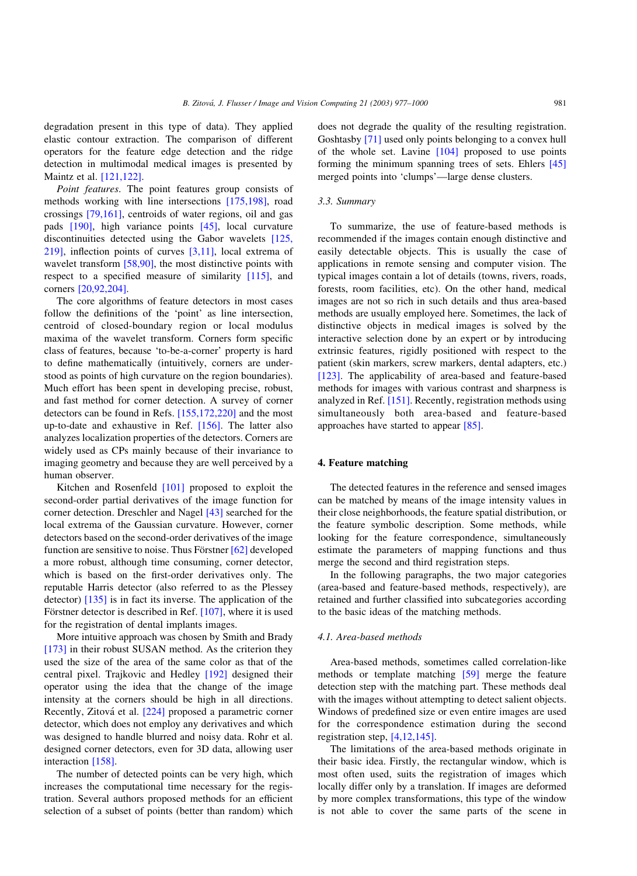degradation present in this type of data). They applied elastic contour extraction. The comparison of different operators for the feature edge detection and the ridge detection in multimodal medical images is presented by Maintz et al. [\[121,122\]](#page-21-0).

Point features. The point features group consists of methods working with line intersections [\[175,198\]](#page-22-0), road crossings [\[79,161\]](#page-20-0), centroids of water regions, oil and gas pads [\[190\],](#page-23-0) high variance points [\[45\]](#page-19-0), local curvature discontinuities detected using the Gabor wavelets [\[125,](#page-21-0) [219\],](#page-21-0) inflection points of curves [\[3,11\],](#page-18-0) local extrema of wavelet transform [\[58,90\],](#page-20-0) the most distinctive points with respect to a specified measure of similarity [\[115\]](#page-21-0), and corners [\[20,92,204\]](#page-19-0).

The core algorithms of feature detectors in most cases follow the definitions of the 'point' as line intersection, centroid of closed-boundary region or local modulus maxima of the wavelet transform. Corners form specific class of features, because 'to-be-a-corner' property is hard to define mathematically (intuitively, corners are understood as points of high curvature on the region boundaries). Much effort has been spent in developing precise, robust, and fast method for corner detection. A survey of corner detectors can be found in Refs. [\[155,172,220\]](#page-22-0) and the most up-to-date and exhaustive in Ref. [\[156\].](#page-22-0) The latter also analyzes localization properties of the detectors. Corners are widely used as CPs mainly because of their invariance to imaging geometry and because they are well perceived by a human observer.

Kitchen and Rosenfeld [\[101\]](#page-21-0) proposed to exploit the second-order partial derivatives of the image function for corner detection. Dreschler and Nagel [\[43\]](#page-19-0) searched for the local extrema of the Gaussian curvature. However, corner detectors based on the second-order derivatives of the image function are sensitive to noise. Thus Förstner  $[62]$  developed a more robust, although time consuming, corner detector, which is based on the first-order derivatives only. The reputable Harris detector (also referred to as the Plessey detector) [\[135\]](#page-21-0) is in fact its inverse. The application of the Förstner detector is described in Ref. [\[107\]](#page-21-0), where it is used for the registration of dental implants images.

More intuitive approach was chosen by Smith and Brady [\[173\]](#page-22-0) in their robust SUSAN method. As the criterion they used the size of the area of the same color as that of the central pixel. Trajkovic and Hedley [\[192\]](#page-23-0) designed their operator using the idea that the change of the image intensity at the corners should be high in all directions. Recently, Zitová et al. [\[224\]](#page-23-0) proposed a parametric corner detector, which does not employ any derivatives and which was designed to handle blurred and noisy data. Rohr et al. designed corner detectors, even for 3D data, allowing user interaction [\[158\]](#page-22-0).

The number of detected points can be very high, which increases the computational time necessary for the registration. Several authors proposed methods for an efficient selection of a subset of points (better than random) which

does not degrade the quality of the resulting registration. Goshtasby [\[71\]](#page-20-0) used only points belonging to a convex hull of the whole set. Lavine  $[104]$  proposed to use points forming the minimum spanning trees of sets. Ehlers [\[45\]](#page-19-0) merged points into 'clumps'—large dense clusters.

# 3.3. Summary

To summarize, the use of feature-based methods is recommended if the images contain enough distinctive and easily detectable objects. This is usually the case of applications in remote sensing and computer vision. The typical images contain a lot of details (towns, rivers, roads, forests, room facilities, etc). On the other hand, medical images are not so rich in such details and thus area-based methods are usually employed here. Sometimes, the lack of distinctive objects in medical images is solved by the interactive selection done by an expert or by introducing extrinsic features, rigidly positioned with respect to the patient (skin markers, screw markers, dental adapters, etc.) [\[123\]](#page-21-0). The applicability of area-based and feature-based methods for images with various contrast and sharpness is analyzed in Ref. [\[151\]](#page-22-0). Recently, registration methods using simultaneously both area-based and feature-based approaches have started to appear  $[85]$ .

# 4. Feature matching

The detected features in the reference and sensed images can be matched by means of the image intensity values in their close neighborhoods, the feature spatial distribution, or the feature symbolic description. Some methods, while looking for the feature correspondence, simultaneously estimate the parameters of mapping functions and thus merge the second and third registration steps.

In the following paragraphs, the two major categories (area-based and feature-based methods, respectively), are retained and further classified into subcategories according to the basic ideas of the matching methods.

# 4.1. Area-based methods

Area-based methods, sometimes called correlation-like methods or template matching [\[59\]](#page-20-0) merge the feature detection step with the matching part. These methods deal with the images without attempting to detect salient objects. Windows of predefined size or even entire images are used for the correspondence estimation during the second registration step, [\[4,12,145\]](#page-18-0).

The limitations of the area-based methods originate in their basic idea. Firstly, the rectangular window, which is most often used, suits the registration of images which locally differ only by a translation. If images are deformed by more complex transformations, this type of the window is not able to cover the same parts of the scene in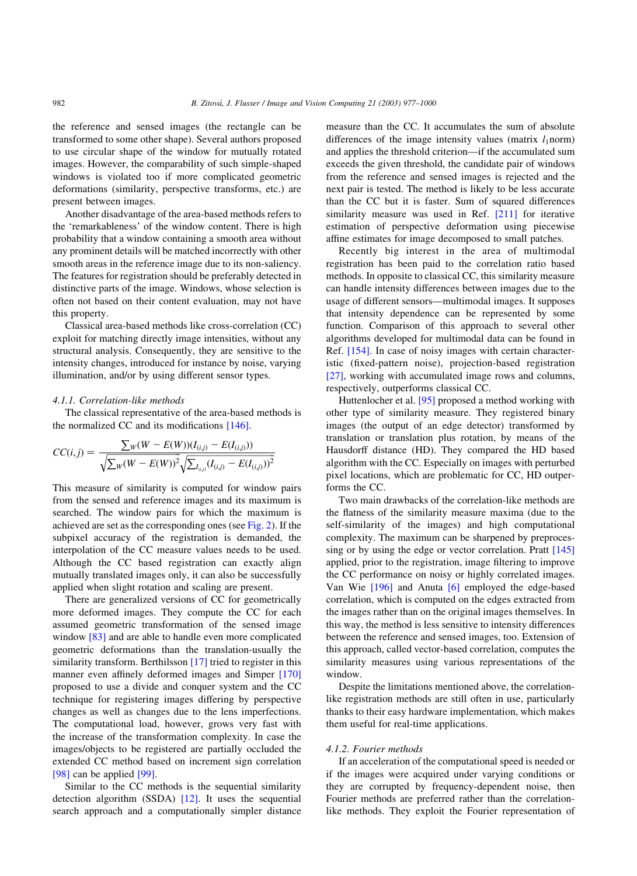the reference and sensed images (the rectangle can be transformed to some other shape). Several authors proposed to use circular shape of the window for mutually rotated images. However, the comparability of such simple-shaped windows is violated too if more complicated geometric deformations (similarity, perspective transforms, etc.) are present between images.

Another disadvantage of the area-based methods refers to the 'remarkableness' of the window content. There is high probability that a window containing a smooth area without any prominent details will be matched incorrectly with other smooth areas in the reference image due to its non-saliency. The features for registration should be preferably detected in distinctive parts of the image. Windows, whose selection is often not based on their content evaluation, may not have this property.

Classical area-based methods like cross-correlation (CC) exploit for matching directly image intensities, without any structural analysis. Consequently, they are sensitive to the intensity changes, introduced for instance by noise, varying illumination, and/or by using different sensor types.

## 4.1.1. Correlation-like methods

The classical representative of the area-based methods is the normalized CC and its modifications [\[146\]](#page-22-0).

$$
CC(i,j) = \frac{\sum_{W}(W - E(W))(I_{(i,j)} - E(I_{(i,j)}))}{\sqrt{\sum_{W}(W - E(W))^{2}}\sqrt{\sum_{I_{(i,j)}}(I_{(i,j)} - E(I_{(i,j)}))^2}}
$$

This measure of similarity is computed for window pairs from the sensed and reference images and its maximum is searched. The window pairs for which the maximum is achieved are set as the corresponding ones (see [Fig. 2\)](#page-6-0). If the subpixel accuracy of the registration is demanded, the interpolation of the CC measure values needs to be used. Although the CC based registration can exactly align mutually translated images only, it can also be successfully applied when slight rotation and scaling are present.

There are generalized versions of CC for geometrically more deformed images. They compute the CC for each assumed geometric transformation of the sensed image window [\[83\]](#page-20-0) and are able to handle even more complicated geometric deformations than the translation-usually the similarity transform. Berthilsson [\[17\]](#page-19-0) tried to register in this manner even affinely deformed images and Simper [\[170\]](#page-22-0) proposed to use a divide and conquer system and the CC technique for registering images differing by perspective changes as well as changes due to the lens imperfections. The computational load, however, grows very fast with the increase of the transformation complexity. In case the images/objects to be registered are partially occluded the extended CC method based on increment sign correlation [\[98\]](#page-20-0) can be applied [\[99\].](#page-21-0)

Similar to the CC methods is the sequential similarity detection algorithm (SSDA) [\[12\]](#page-19-0). It uses the sequential search approach and a computationally simpler distance

measure than the CC. It accumulates the sum of absolute differences of the image intensity values (matrix  $l_1$ norm) and applies the threshold criterion—if the accumulated sum exceeds the given threshold, the candidate pair of windows from the reference and sensed images is rejected and the next pair is tested. The method is likely to be less accurate than the CC but it is faster. Sum of squared differences similarity measure was used in Ref. [\[211\]](#page-23-0) for iterative estimation of perspective deformation using piecewise affine estimates for image decomposed to small patches.

Recently big interest in the area of multimodal registration has been paid to the correlation ratio based methods. In opposite to classical CC, this similarity measure can handle intensity differences between images due to the usage of different sensors—multimodal images. It supposes that intensity dependence can be represented by some function. Comparison of this approach to several other algorithms developed for multimodal data can be found in Ref. [\[154\]](#page-22-0). In case of noisy images with certain characteristic (fixed-pattern noise), projection-based registration [\[27\]](#page-19-0), working with accumulated image rows and columns, respectively, outperforms classical CC.

Huttenlocher et al. [\[95\]](#page-20-0) proposed a method working with other type of similarity measure. They registered binary images (the output of an edge detector) transformed by translation or translation plus rotation, by means of the Hausdorff distance (HD). They compared the HD based algorithm with the CC. Especially on images with perturbed pixel locations, which are problematic for CC, HD outperforms the CC.

Two main drawbacks of the correlation-like methods are the flatness of the similarity measure maxima (due to the self-similarity of the images) and high computational complexity. The maximum can be sharpened by preprocessing or by using the edge or vector correlation. Pratt [\[145\]](#page-22-0) applied, prior to the registration, image filtering to improve the CC performance on noisy or highly correlated images. Van Wie [\[196\]](#page-23-0) and Anuta [\[6\]](#page-18-0) employed the edge-based correlation, which is computed on the edges extracted from the images rather than on the original images themselves. In this way, the method is less sensitive to intensity differences between the reference and sensed images, too. Extension of this approach, called vector-based correlation, computes the similarity measures using various representations of the window.

Despite the limitations mentioned above, the correlationlike registration methods are still often in use, particularly thanks to their easy hardware implementation, which makes them useful for real-time applications.

## 4.1.2. Fourier methods

If an acceleration of the computational speed is needed or if the images were acquired under varying conditions or they are corrupted by frequency-dependent noise, then Fourier methods are preferred rather than the correlationlike methods. They exploit the Fourier representation of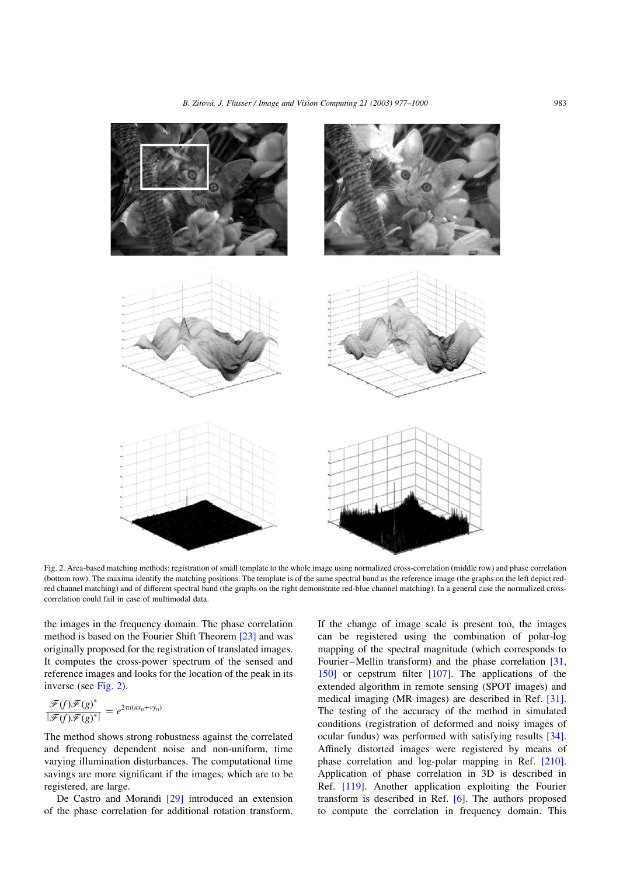<span id="page-6-0"></span>

Fig. 2. Area-based matching methods: registration of small template to the whole image using normalized cross-correlation (middle row) and phase correlation (bottom row). The maxima identify the matching positions. The template is of the same spectral band as the reference image (the graphs on the left depict redred channel matching) and of different spectral band (the graphs on the right demonstrate red-blue channel matching). In a general case the normalized crosscorrelation could fail in case of multimodal data.

the images in the frequency domain. The phase correlation method is based on the Fourier Shift Theorem [\[23\]](#page-19-0) and was originally proposed for the registration of translated images. It computes the cross-power spectrum of the sensed and reference images and looks for the location of the peak in its inverse (see Fig. 2).

$$
\frac{\mathscr{F}(f)\mathscr{F}(g)^*}{|\mathscr{F}(f)\mathscr{F}(g)^*|} = e^{2\pi i (ux_0+vy_0)}
$$

The method shows strong robustness against the correlated and frequency dependent noise and non-uniform, time varying illumination disturbances. The computational time savings are more significant if the images, which are to be registered, are large.

De Castro and Morandi [\[29\]](#page-19-0) introduced an extension of the phase correlation for additional rotation transform.

If the change of image scale is present too, the images can be registered using the combination of polar-log mapping of the spectral magnitude (which corresponds to Fourier–Mellin transform) and the phase correlation [\[31,](#page-19-0) [150\]](#page-19-0) or cepstrum filter [\[107\]](#page-21-0). The applications of the extended algorithm in remote sensing (SPOT images) and medical imaging (MR images) are described in Ref. [\[31\]](#page-19-0). The testing of the accuracy of the method in simulated conditions (registration of deformed and noisy images of ocular fundus) was performed with satisfying results [\[34\]](#page-19-0). Affinely distorted images were registered by means of phase correlation and log-polar mapping in Ref. [\[210\]](#page-23-0). Application of phase correlation in 3D is described in Ref. [\[119\]](#page-21-0). Another application exploiting the Fourier transform is described in Ref. [\[6\].](#page-18-0) The authors proposed to compute the correlation in frequency domain. This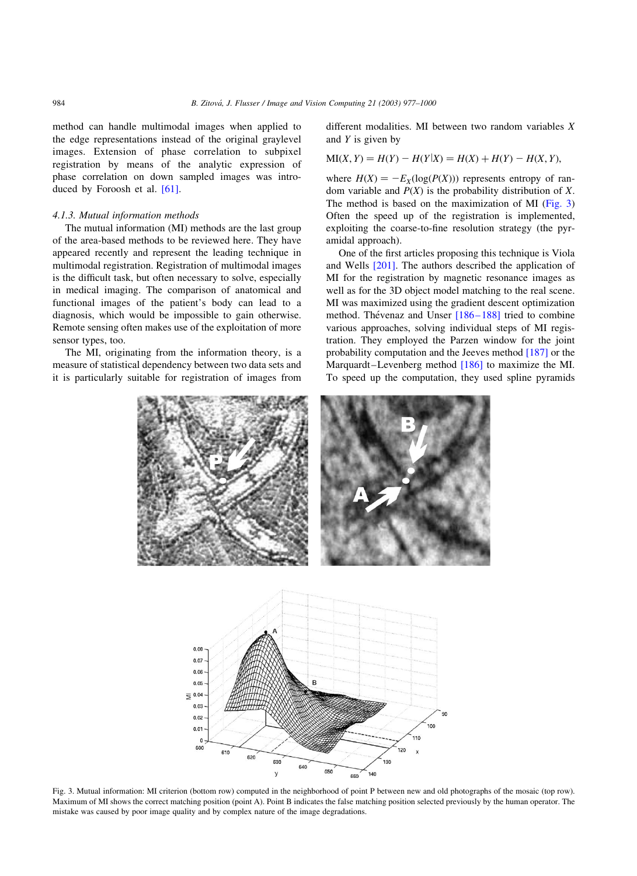method can handle multimodal images when applied to the edge representations instead of the original graylevel images. Extension of phase correlation to subpixel registration by means of the analytic expression of phase correlation on down sampled images was introduced by Foroosh et al. [\[61\].](#page-20-0)

## 4.1.3. Mutual information methods

The mutual information (MI) methods are the last group of the area-based methods to be reviewed here. They have appeared recently and represent the leading technique in multimodal registration. Registration of multimodal images is the difficult task, but often necessary to solve, especially in medical imaging. The comparison of anatomical and functional images of the patient's body can lead to a diagnosis, which would be impossible to gain otherwise. Remote sensing often makes use of the exploitation of more sensor types, too.

The MI, originating from the information theory, is a measure of statistical dependency between two data sets and it is particularly suitable for registration of images from

different modalities. MI between two random variables X and  $Y$  is given by

$$
MI(X, Y) = H(Y) - H(Y|X) = H(X) + H(Y) - H(X, Y),
$$

where  $H(X) = -E_X(\log(P(X)))$  represents entropy of random variable and  $P(X)$  is the probability distribution of X. The method is based on the maximization of MI (Fig. 3) Often the speed up of the registration is implemented, exploiting the coarse-to-fine resolution strategy (the pyramidal approach).

One of the first articles proposing this technique is Viola and Wells [\[201\]](#page-23-0). The authors described the application of MI for the registration by magnetic resonance images as well as for the 3D object model matching to the real scene. MI was maximized using the gradient descent optimization method. Thévenaz and Unser [186-188] tried to combine various approaches, solving individual steps of MI registration. They employed the Parzen window for the joint probability computation and the Jeeves method [\[187\]](#page-23-0) or the Marquardt–Levenberg method [\[186\]](#page-22-0) to maximize the MI. To speed up the computation, they used spline pyramids





Fig. 3. Mutual information: MI criterion (bottom row) computed in the neighborhood of point P between new and old photographs of the mosaic (top row). Maximum of MI shows the correct matching position (point A). Point B indicates the false matching position selected previously by the human operator. The mistake was caused by poor image quality and by complex nature of the image degradations.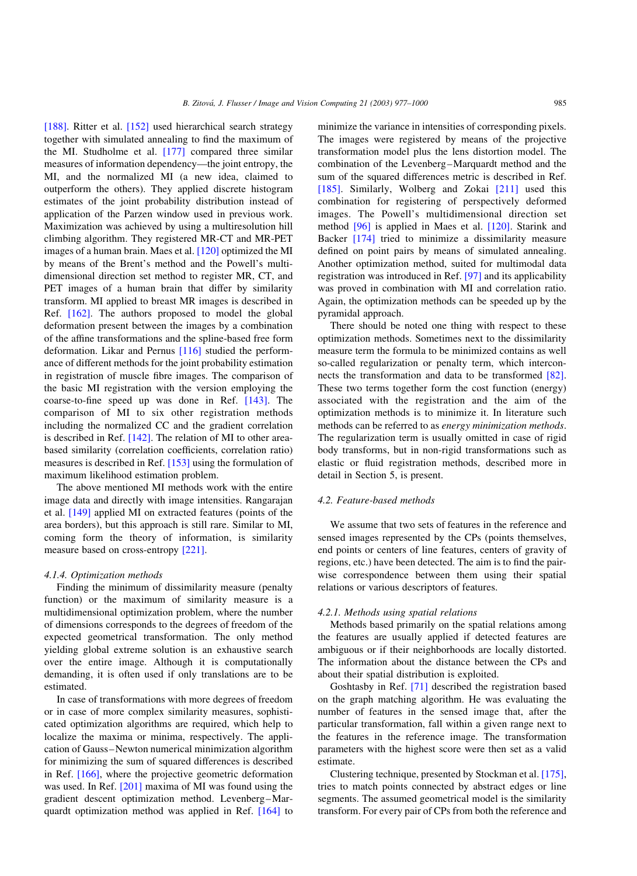[\[188\]](#page-23-0). Ritter et al. [\[152\]](#page-22-0) used hierarchical search strategy together with simulated annealing to find the maximum of the MI. Studholme et al. [\[177\]](#page-22-0) compared three similar measures of information dependency—the joint entropy, the MI, and the normalized MI (a new idea, claimed to outperform the others). They applied discrete histogram estimates of the joint probability distribution instead of application of the Parzen window used in previous work. Maximization was achieved by using a multiresolution hill climbing algorithm. They registered MR-CT and MR-PET images of a human brain. Maes et al. [\[120\]](#page-21-0) optimized the MI by means of the Brent's method and the Powell's multidimensional direction set method to register MR, CT, and PET images of a human brain that differ by similarity transform. MI applied to breast MR images is described in Ref. [\[162\].](#page-22-0) The authors proposed to model the global deformation present between the images by a combination of the affine transformations and the spline-based free form deformation. Likar and Pernus [\[116\]](#page-21-0) studied the performance of different methods for the joint probability estimation in registration of muscle fibre images. The comparison of the basic MI registration with the version employing the coarse-to-fine speed up was done in Ref. [\[143\]](#page-22-0). The comparison of MI to six other registration methods including the normalized CC and the gradient correlation is described in Ref. [\[142\].](#page-21-0) The relation of MI to other areabased similarity (correlation coefficients, correlation ratio) measures is described in Ref. [\[153\]](#page-22-0) using the formulation of maximum likelihood estimation problem.

The above mentioned MI methods work with the entire image data and directly with image intensities. Rangarajan et al. [\[149\]](#page-22-0) applied MI on extracted features (points of the area borders), but this approach is still rare. Similar to MI, coming form the theory of information, is similarity measure based on cross-entropy [\[221\].](#page-23-0)

## 4.1.4. Optimization methods

Finding the minimum of dissimilarity measure (penalty function) or the maximum of similarity measure is a multidimensional optimization problem, where the number of dimensions corresponds to the degrees of freedom of the expected geometrical transformation. The only method yielding global extreme solution is an exhaustive search over the entire image. Although it is computationally demanding, it is often used if only translations are to be estimated.

In case of transformations with more degrees of freedom or in case of more complex similarity measures, sophisticated optimization algorithms are required, which help to localize the maxima or minima, respectively. The application of Gauss–Newton numerical minimization algorithm for minimizing the sum of squared differences is described in Ref. [\[166\],](#page-22-0) where the projective geometric deformation was used. In Ref. [\[201\]](#page-23-0) maxima of MI was found using the gradient descent optimization method. Levenberg–Marquardt optimization method was applied in Ref. [\[164\]](#page-22-0) to

minimize the variance in intensities of corresponding pixels. The images were registered by means of the projective transformation model plus the lens distortion model. The combination of the Levenberg–Marquardt method and the sum of the squared differences metric is described in Ref. [\[185\].](#page-22-0) Similarly, Wolberg and Zokai [\[211\]](#page-23-0) used this combination for registering of perspectively deformed images. The Powell's multidimensional direction set method [\[96\]](#page-20-0) is applied in Maes et al. [\[120\]](#page-21-0). Starink and Backer [\[174\]](#page-22-0) tried to minimize a dissimilarity measure defined on point pairs by means of simulated annealing. Another optimization method, suited for multimodal data registration was introduced in Ref. [\[97\]](#page-20-0) and its applicability was proved in combination with MI and correlation ratio. Again, the optimization methods can be speeded up by the pyramidal approach.

There should be noted one thing with respect to these optimization methods. Sometimes next to the dissimilarity measure term the formula to be minimized contains as well so-called regularization or penalty term, which interconnects the transformation and data to be transformed [\[82\]](#page-20-0). These two terms together form the cost function (energy) associated with the registration and the aim of the optimization methods is to minimize it. In literature such methods can be referred to as energy minimization methods. The regularization term is usually omitted in case of rigid body transforms, but in non-rigid transformations such as elastic or fluid registration methods, described more in detail in Section 5, is present.

# 4.2. Feature-based methods

We assume that two sets of features in the reference and sensed images represented by the CPs (points themselves, end points or centers of line features, centers of gravity of regions, etc.) have been detected. The aim is to find the pairwise correspondence between them using their spatial relations or various descriptors of features.

#### 4.2.1. Methods using spatial relations

Methods based primarily on the spatial relations among the features are usually applied if detected features are ambiguous or if their neighborhoods are locally distorted. The information about the distance between the CPs and about their spatial distribution is exploited.

Goshtasby in Ref. [\[71\]](#page-20-0) described the registration based on the graph matching algorithm. He was evaluating the number of features in the sensed image that, after the particular transformation, fall within a given range next to the features in the reference image. The transformation parameters with the highest score were then set as a valid estimate.

Clustering technique, presented by Stockman et al. [\[175\]](#page-22-0), tries to match points connected by abstract edges or line segments. The assumed geometrical model is the similarity transform. For every pair of CPs from both the reference and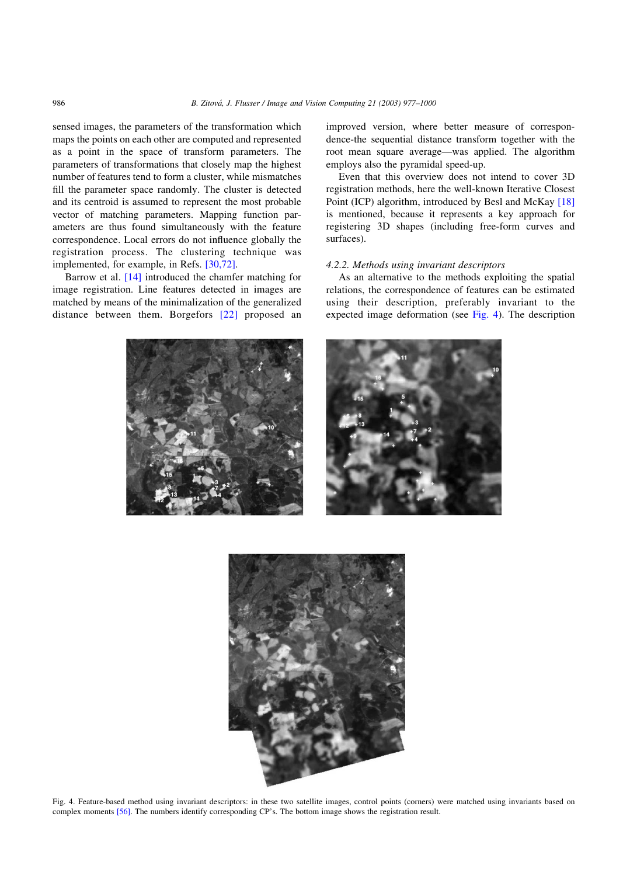sensed images, the parameters of the transformation which maps the points on each other are computed and represented as a point in the space of transform parameters. The parameters of transformations that closely map the highest number of features tend to form a cluster, while mismatches fill the parameter space randomly. The cluster is detected and its centroid is assumed to represent the most probable vector of matching parameters. Mapping function parameters are thus found simultaneously with the feature correspondence. Local errors do not influence globally the registration process. The clustering technique was implemented, for example, in Refs. [\[30,72\]](#page-19-0).

Barrow et al. [\[14\]](#page-19-0) introduced the chamfer matching for image registration. Line features detected in images are matched by means of the minimalization of the generalized distance between them. Borgefors [\[22\]](#page-19-0) proposed an

improved version, where better measure of correspondence-the sequential distance transform together with the root mean square average—was applied. The algorithm employs also the pyramidal speed-up.

Even that this overview does not intend to cover 3D registration methods, here the well-known Iterative Closest Point (ICP) algorithm, introduced by Besl and McKay [\[18\]](#page-19-0) is mentioned, because it represents a key approach for registering 3D shapes (including free-form curves and surfaces).

#### 4.2.2. Methods using invariant descriptors

As an alternative to the methods exploiting the spatial relations, the correspondence of features can be estimated using their description, preferably invariant to the expected image deformation (see Fig. 4). The description





Fig. 4. Feature-based method using invariant descriptors: in these two satellite images, control points (corners) were matched using invariants based on complex moments [\[56\]](#page-20-0). The numbers identify corresponding CP's. The bottom image shows the registration result.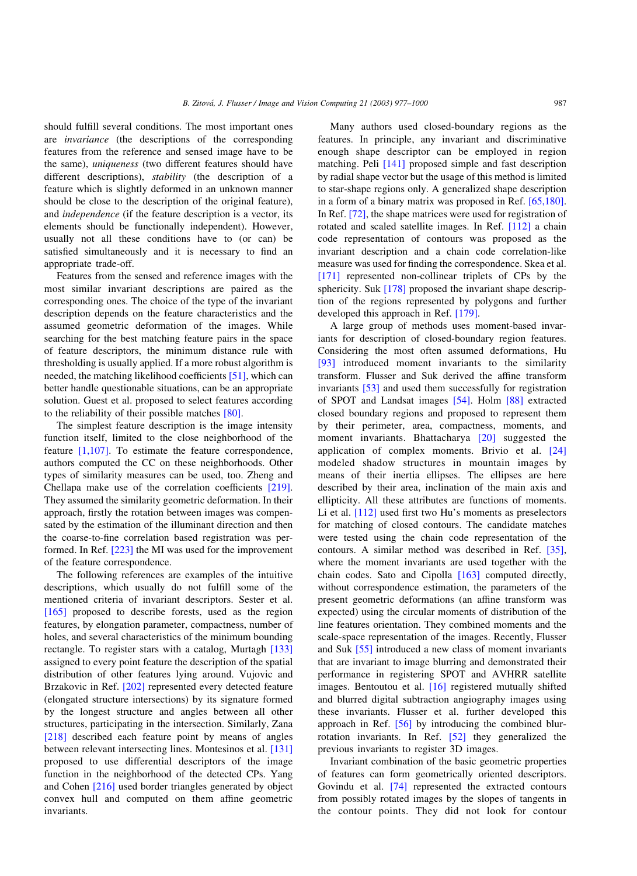should fulfill several conditions. The most important ones are invariance (the descriptions of the corresponding features from the reference and sensed image have to be the same), uniqueness (two different features should have different descriptions), stability (the description of a feature which is slightly deformed in an unknown manner should be close to the description of the original feature), and independence (if the feature description is a vector, its elements should be functionally independent). However, usually not all these conditions have to (or can) be satisfied simultaneously and it is necessary to find an appropriate trade-off.

Features from the sensed and reference images with the most similar invariant descriptions are paired as the corresponding ones. The choice of the type of the invariant description depends on the feature characteristics and the assumed geometric deformation of the images. While searching for the best matching feature pairs in the space of feature descriptors, the minimum distance rule with thresholding is usually applied. If a more robust algorithm is needed, the matching likelihood coefficients [\[51\],](#page-19-0) which can better handle questionable situations, can be an appropriate solution. Guest et al. proposed to select features according to the reliability of their possible matches [\[80\].](#page-20-0)

The simplest feature description is the image intensity function itself, limited to the close neighborhood of the feature [\[1,107\]](#page-18-0). To estimate the feature correspondence, authors computed the CC on these neighborhoods. Other types of similarity measures can be used, too. Zheng and Chellapa make use of the correlation coefficients [\[219\]](#page-23-0). They assumed the similarity geometric deformation. In their approach, firstly the rotation between images was compensated by the estimation of the illuminant direction and then the coarse-to-fine correlation based registration was performed. In Ref. [\[223\]](#page-23-0) the MI was used for the improvement of the feature correspondence.

The following references are examples of the intuitive descriptions, which usually do not fulfill some of the mentioned criteria of invariant descriptors. Sester et al. [\[165\]](#page-22-0) proposed to describe forests, used as the region features, by elongation parameter, compactness, number of holes, and several characteristics of the minimum bounding rectangle. To register stars with a catalog, Murtagh [\[133\]](#page-21-0) assigned to every point feature the description of the spatial distribution of other features lying around. Vujovic and Brzakovic in Ref. [\[202\]](#page-23-0) represented every detected feature (elongated structure intersections) by its signature formed by the longest structure and angles between all other structures, participating in the intersection. Similarly, Zana [\[218\]](#page-23-0) described each feature point by means of angles between relevant intersecting lines. Montesinos et al. [\[131\]](#page-21-0) proposed to use differential descriptors of the image function in the neighborhood of the detected CPs. Yang and Cohen [\[216\]](#page-23-0) used border triangles generated by object convex hull and computed on them affine geometric invariants.

Many authors used closed-boundary regions as the features. In principle, any invariant and discriminative enough shape descriptor can be employed in region matching. Peli [\[141\]](#page-21-0) proposed simple and fast description by radial shape vector but the usage of this method is limited to star-shape regions only. A generalized shape description in a form of a binary matrix was proposed in Ref. [\[65,180\]](#page-20-0). In Ref. [\[72\],](#page-20-0) the shape matrices were used for registration of rotated and scaled satellite images. In Ref. [\[112\]](#page-21-0) a chain code representation of contours was proposed as the invariant description and a chain code correlation-like measure was used for finding the correspondence. Skea et al. [\[171\]](#page-22-0) represented non-collinear triplets of CPs by the sphericity. Suk [\[178\]](#page-22-0) proposed the invariant shape description of the regions represented by polygons and further developed this approach in Ref. [\[179\]](#page-22-0).

A large group of methods uses moment-based invariants for description of closed-boundary region features. Considering the most often assumed deformations, Hu [\[93\]](#page-20-0) introduced moment invariants to the similarity transform. Flusser and Suk derived the affine transform invariants [\[53\]](#page-19-0) and used them successfully for registration of SPOT and Landsat images [\[54\]](#page-19-0). Holm [\[88\]](#page-20-0) extracted closed boundary regions and proposed to represent them by their perimeter, area, compactness, moments, and moment invariants. Bhattacharya [\[20\]](#page-19-0) suggested the application of complex moments. Brivio et al. [\[24\]](#page-19-0) modeled shadow structures in mountain images by means of their inertia ellipses. The ellipses are here described by their area, inclination of the main axis and ellipticity. All these attributes are functions of moments. Li et al. [\[112\]](#page-21-0) used first two Hu's moments as preselectors for matching of closed contours. The candidate matches were tested using the chain code representation of the contours. A similar method was described in Ref. [\[35\]](#page-19-0), where the moment invariants are used together with the chain codes. Sato and Cipolla [\[163\]](#page-22-0) computed directly, without correspondence estimation, the parameters of the present geometric deformations (an affine transform was expected) using the circular moments of distribution of the line features orientation. They combined moments and the scale-space representation of the images. Recently, Flusser and Suk [\[55\]](#page-19-0) introduced a new class of moment invariants that are invariant to image blurring and demonstrated their performance in registering SPOT and AVHRR satellite images. Bentoutou et al. [\[16\]](#page-19-0) registered mutually shifted and blurred digital subtraction angiography images using these invariants. Flusser et al. further developed this approach in Ref. [\[56\]](#page-20-0) by introducing the combined blurrotation invariants. In Ref. [\[52\]](#page-19-0) they generalized the previous invariants to register 3D images.

Invariant combination of the basic geometric properties of features can form geometrically oriented descriptors. Govindu et al. [\[74\]](#page-20-0) represented the extracted contours from possibly rotated images by the slopes of tangents in the contour points. They did not look for contour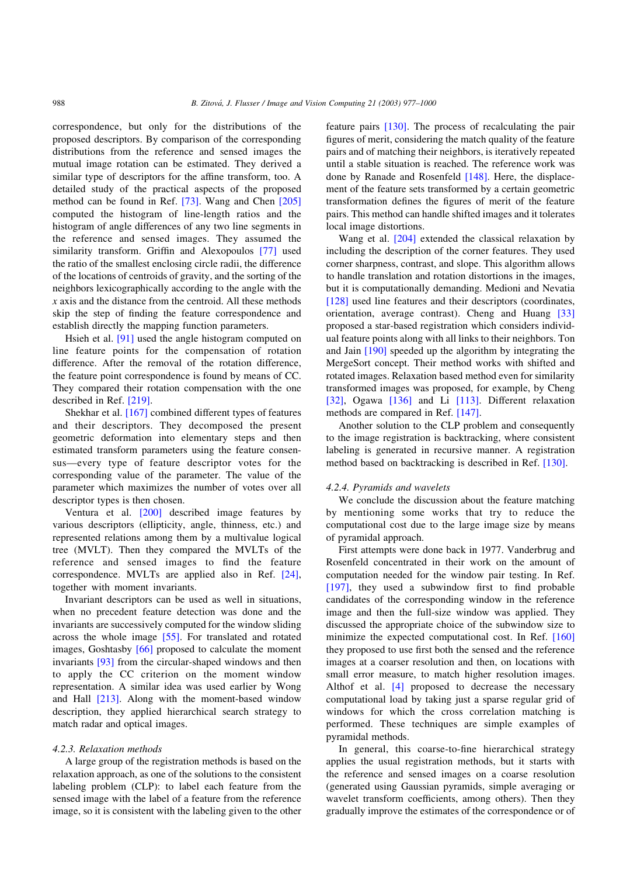correspondence, but only for the distributions of the proposed descriptors. By comparison of the corresponding distributions from the reference and sensed images the mutual image rotation can be estimated. They derived a similar type of descriptors for the affine transform, too. A detailed study of the practical aspects of the proposed method can be found in Ref. [\[73\]](#page-20-0). Wang and Chen [\[205\]](#page-23-0) computed the histogram of line-length ratios and the histogram of angle differences of any two line segments in the reference and sensed images. They assumed the similarity transform. Griffin and Alexopoulos [\[77\]](#page-20-0) used the ratio of the smallest enclosing circle radii, the difference of the locations of centroids of gravity, and the sorting of the neighbors lexicographically according to the angle with the  $x$  axis and the distance from the centroid. All these methods skip the step of finding the feature correspondence and establish directly the mapping function parameters.

Hsieh et al. [\[91\]](#page-20-0) used the angle histogram computed on line feature points for the compensation of rotation difference. After the removal of the rotation difference, the feature point correspondence is found by means of CC. They compared their rotation compensation with the one described in Ref. [\[219\]](#page-23-0).

Shekhar et al. [\[167\]](#page-22-0) combined different types of features and their descriptors. They decomposed the present geometric deformation into elementary steps and then estimated transform parameters using the feature consensus—every type of feature descriptor votes for the corresponding value of the parameter. The value of the parameter which maximizes the number of votes over all descriptor types is then chosen.

Ventura et al. [\[200\]](#page-23-0) described image features by various descriptors (ellipticity, angle, thinness, etc.) and represented relations among them by a multivalue logical tree (MVLT). Then they compared the MVLTs of the reference and sensed images to find the feature correspondence. MVLTs are applied also in Ref. [\[24\]](#page-19-0), together with moment invariants.

Invariant descriptors can be used as well in situations, when no precedent feature detection was done and the invariants are successively computed for the window sliding across the whole image [\[55\].](#page-19-0) For translated and rotated images, Goshtasby [\[66\]](#page-20-0) proposed to calculate the moment invariants [\[93\]](#page-20-0) from the circular-shaped windows and then to apply the CC criterion on the moment window representation. A similar idea was used earlier by Wong and Hall [\[213\].](#page-23-0) Along with the moment-based window description, they applied hierarchical search strategy to match radar and optical images.

#### 4.2.3. Relaxation methods

A large group of the registration methods is based on the relaxation approach, as one of the solutions to the consistent labeling problem (CLP): to label each feature from the sensed image with the label of a feature from the reference image, so it is consistent with the labeling given to the other

feature pairs [\[130\]](#page-21-0). The process of recalculating the pair figures of merit, considering the match quality of the feature pairs and of matching their neighbors, is iteratively repeated until a stable situation is reached. The reference work was done by Ranade and Rosenfeld [\[148\].](#page-22-0) Here, the displacement of the feature sets transformed by a certain geometric transformation defines the figures of merit of the feature pairs. This method can handle shifted images and it tolerates local image distortions.

Wang et al. [\[204\]](#page-23-0) extended the classical relaxation by including the description of the corner features. They used corner sharpness, contrast, and slope. This algorithm allows to handle translation and rotation distortions in the images, but it is computationally demanding. Medioni and Nevatia [\[128\]](#page-21-0) used line features and their descriptors (coordinates, orientation, average contrast). Cheng and Huang [\[33\]](#page-19-0) proposed a star-based registration which considers individual feature points along with all links to their neighbors. Ton and Jain [\[190\]](#page-23-0) speeded up the algorithm by integrating the MergeSort concept. Their method works with shifted and rotated images. Relaxation based method even for similarity transformed images was proposed, for example, by Cheng [\[32\]](#page-19-0), Ogawa [\[136\]](#page-21-0) and Li [\[113\]](#page-21-0). Different relaxation methods are compared in Ref. [\[147\].](#page-22-0)

Another solution to the CLP problem and consequently to the image registration is backtracking, where consistent labeling is generated in recursive manner. A registration method based on backtracking is described in Ref. [\[130\].](#page-21-0)

## 4.2.4. Pyramids and wavelets

We conclude the discussion about the feature matching by mentioning some works that try to reduce the computational cost due to the large image size by means of pyramidal approach.

First attempts were done back in 1977. Vanderbrug and Rosenfeld concentrated in their work on the amount of computation needed for the window pair testing. In Ref. [\[197\],](#page-23-0) they used a subwindow first to find probable candidates of the corresponding window in the reference image and then the full-size window was applied. They discussed the appropriate choice of the subwindow size to minimize the expected computational cost. In Ref. [\[160\]](#page-22-0) they proposed to use first both the sensed and the reference images at a coarser resolution and then, on locations with small error measure, to match higher resolution images. Althof et al.  $[4]$  proposed to decrease the necessary computational load by taking just a sparse regular grid of windows for which the cross correlation matching is performed. These techniques are simple examples of pyramidal methods.

In general, this coarse-to-fine hierarchical strategy applies the usual registration methods, but it starts with the reference and sensed images on a coarse resolution (generated using Gaussian pyramids, simple averaging or wavelet transform coefficients, among others). Then they gradually improve the estimates of the correspondence or of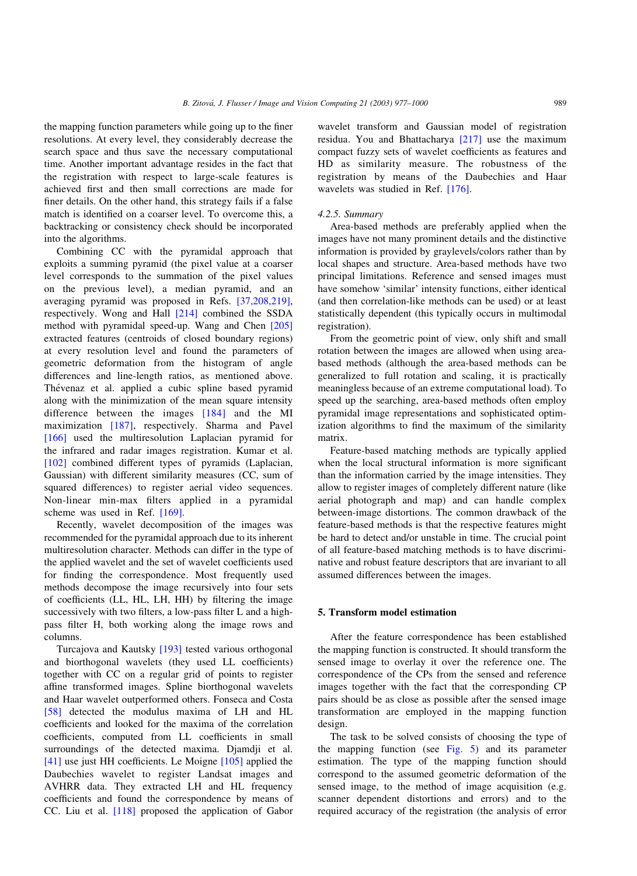the mapping function parameters while going up to the finer resolutions. At every level, they considerably decrease the search space and thus save the necessary computational time. Another important advantage resides in the fact that the registration with respect to large-scale features is achieved first and then small corrections are made for finer details. On the other hand, this strategy fails if a false match is identified on a coarser level. To overcome this, a backtracking or consistency check should be incorporated into the algorithms.

Combining CC with the pyramidal approach that exploits a summing pyramid (the pixel value at a coarser level corresponds to the summation of the pixel values on the previous level), a median pyramid, and an averaging pyramid was proposed in Refs. [\[37,208,219\]](#page-19-0), respectively. Wong and Hall [\[214\]](#page-23-0) combined the SSDA method with pyramidal speed-up. Wang and Chen [\[205\]](#page-23-0) extracted features (centroids of closed boundary regions) at every resolution level and found the parameters of geometric deformation from the histogram of angle differences and line-length ratios, as mentioned above. Thévenaz et al. applied a cubic spline based pyramid along with the minimization of the mean square intensity difference between the images [\[184\]](#page-22-0) and the MI maximization [\[187\]](#page-23-0), respectively. Sharma and Pavel [\[166\]](#page-22-0) used the multiresolution Laplacian pyramid for the infrared and radar images registration. Kumar et al. [\[102\]](#page-21-0) combined different types of pyramids (Laplacian, Gaussian) with different similarity measures (CC, sum of squared differences) to register aerial video sequences. Non-linear min-max filters applied in a pyramidal scheme was used in Ref. [\[169\]](#page-22-0).

Recently, wavelet decomposition of the images was recommended for the pyramidal approach due to its inherent multiresolution character. Methods can differ in the type of the applied wavelet and the set of wavelet coefficients used for finding the correspondence. Most frequently used methods decompose the image recursively into four sets of coefficients (LL, HL, LH, HH) by filtering the image successively with two filters, a low-pass filter L and a highpass filter H, both working along the image rows and columns.

Turcajova and Kautsky [\[193\]](#page-23-0) tested various orthogonal and biorthogonal wavelets (they used LL coefficients) together with CC on a regular grid of points to register affine transformed images. Spline biorthogonal wavelets and Haar wavelet outperformed others. Fonseca and Costa [\[58\]](#page-20-0) detected the modulus maxima of LH and HL coefficients and looked for the maxima of the correlation coefficients, computed from LL coefficients in small surroundings of the detected maxima. Djamdji et al. [\[41\]](#page-19-0) use just HH coefficients. Le Moigne [\[105\]](#page-21-0) applied the Daubechies wavelet to register Landsat images and AVHRR data. They extracted LH and HL frequency coefficients and found the correspondence by means of CC. Liu et al. [\[118\]](#page-21-0) proposed the application of Gabor

wavelet transform and Gaussian model of registration residua. You and Bhattacharya [\[217\]](#page-23-0) use the maximum compact fuzzy sets of wavelet coefficients as features and HD as similarity measure. The robustness of the registration by means of the Daubechies and Haar wavelets was studied in Ref. [\[176\]](#page-22-0).

## 4.2.5. Summary

Area-based methods are preferably applied when the images have not many prominent details and the distinctive information is provided by graylevels/colors rather than by local shapes and structure. Area-based methods have two principal limitations. Reference and sensed images must have somehow 'similar' intensity functions, either identical (and then correlation-like methods can be used) or at least statistically dependent (this typically occurs in multimodal registration).

From the geometric point of view, only shift and small rotation between the images are allowed when using areabased methods (although the area-based methods can be generalized to full rotation and scaling, it is practically meaningless because of an extreme computational load). To speed up the searching, area-based methods often employ pyramidal image representations and sophisticated optimization algorithms to find the maximum of the similarity matrix.

Feature-based matching methods are typically applied when the local structural information is more significant than the information carried by the image intensities. They allow to register images of completely different nature (like aerial photograph and map) and can handle complex between-image distortions. The common drawback of the feature-based methods is that the respective features might be hard to detect and/or unstable in time. The crucial point of all feature-based matching methods is to have discriminative and robust feature descriptors that are invariant to all assumed differences between the images.

## 5. Transform model estimation

After the feature correspondence has been established the mapping function is constructed. It should transform the sensed image to overlay it over the reference one. The correspondence of the CPs from the sensed and reference images together with the fact that the corresponding CP pairs should be as close as possible after the sensed image transformation are employed in the mapping function design.

The task to be solved consists of choosing the type of the mapping function (see Fig.  $5$ ) and its parameter estimation. The type of the mapping function should correspond to the assumed geometric deformation of the sensed image, to the method of image acquisition (e.g. scanner dependent distortions and errors) and to the required accuracy of the registration (the analysis of error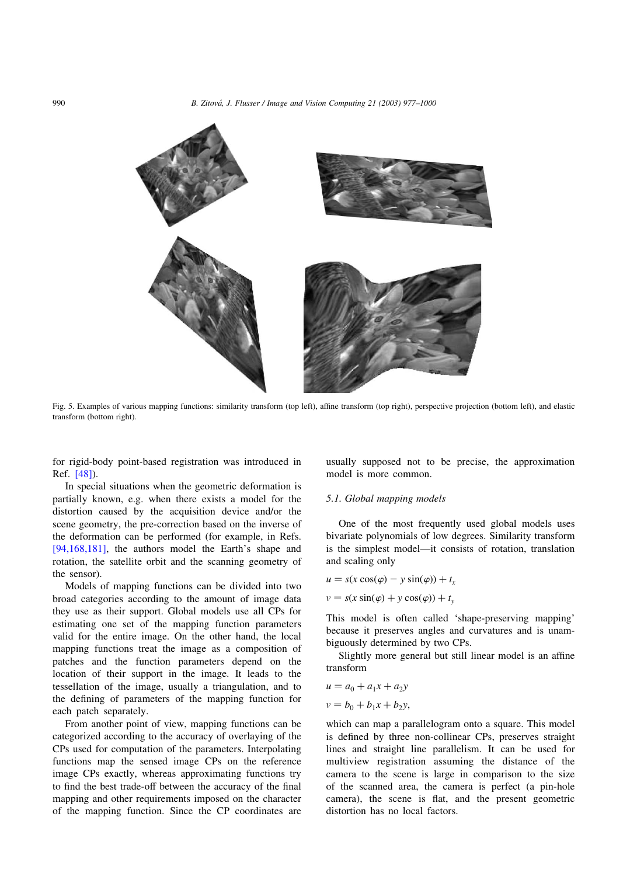<span id="page-13-0"></span>

Fig. 5. Examples of various mapping functions: similarity transform (top left), affine transform (top right), perspective projection (bottom left), and elastic transform (bottom right).

for rigid-body point-based registration was introduced in Ref. [\[48\]\)](#page-19-0).

In special situations when the geometric deformation is partially known, e.g. when there exists a model for the distortion caused by the acquisition device and/or the scene geometry, the pre-correction based on the inverse of the deformation can be performed (for example, in Refs. [\[94,168,181\]](#page-20-0), the authors model the Earth's shape and rotation, the satellite orbit and the scanning geometry of the sensor).

Models of mapping functions can be divided into two broad categories according to the amount of image data they use as their support. Global models use all CPs for estimating one set of the mapping function parameters valid for the entire image. On the other hand, the local mapping functions treat the image as a composition of patches and the function parameters depend on the location of their support in the image. It leads to the tessellation of the image, usually a triangulation, and to the defining of parameters of the mapping function for each patch separately.

From another point of view, mapping functions can be categorized according to the accuracy of overlaying of the CPs used for computation of the parameters. Interpolating functions map the sensed image CPs on the reference image CPs exactly, whereas approximating functions try to find the best trade-off between the accuracy of the final mapping and other requirements imposed on the character of the mapping function. Since the CP coordinates are

usually supposed not to be precise, the approximation model is more common.

# 5.1. Global mapping models

One of the most frequently used global models uses bivariate polynomials of low degrees. Similarity transform is the simplest model—it consists of rotation, translation and scaling only

$$
u = s(x \cos(\varphi) - y \sin(\varphi)) + t_x
$$
  

$$
v = s(x \sin(\varphi) + y \cos(\varphi)) + t_y
$$

This model is often called 'shape-preserving mapping' because it preserves angles and curvatures and is unambiguously determined by two CPs.

Slightly more general but still linear model is an affine transform

$$
u = a0 + a1x + a2y
$$
  

$$
v = b0 + b1x + b2y
$$

which can map a parallelogram onto a square. This model is defined by three non-collinear CPs, preserves straight lines and straight line parallelism. It can be used for multiview registration assuming the distance of the camera to the scene is large in comparison to the size of the scanned area, the camera is perfect (a pin-hole camera), the scene is flat, and the present geometric distortion has no local factors.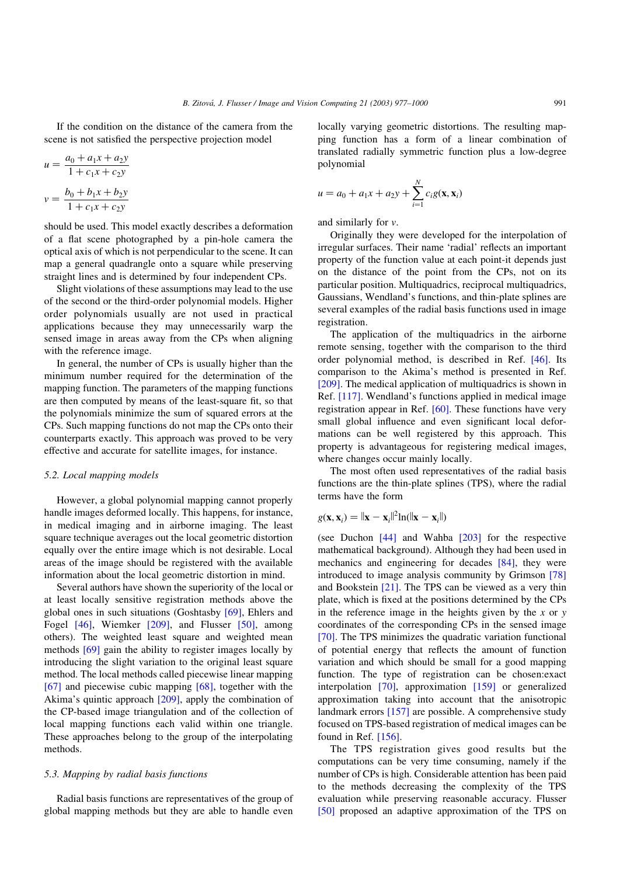If the condition on the distance of the camera from the scene is not satisfied the perspective projection model

$$
u = \frac{a_0 + a_1x + a_2y}{1 + c_1x + c_2y}
$$

$$
v = \frac{b_0 + b_1x + b_2y}{1 + c_1x + c_2y}
$$

should be used. This model exactly describes a deformation of a flat scene photographed by a pin-hole camera the optical axis of which is not perpendicular to the scene. It can map a general quadrangle onto a square while preserving straight lines and is determined by four independent CPs.

Slight violations of these assumptions may lead to the use of the second or the third-order polynomial models. Higher order polynomials usually are not used in practical applications because they may unnecessarily warp the sensed image in areas away from the CPs when aligning with the reference image.

In general, the number of CPs is usually higher than the minimum number required for the determination of the mapping function. The parameters of the mapping functions are then computed by means of the least-square fit, so that the polynomials minimize the sum of squared errors at the CPs. Such mapping functions do not map the CPs onto their counterparts exactly. This approach was proved to be very effective and accurate for satellite images, for instance.

## 5.2. Local mapping models

However, a global polynomial mapping cannot properly handle images deformed locally. This happens, for instance, in medical imaging and in airborne imaging. The least square technique averages out the local geometric distortion equally over the entire image which is not desirable. Local areas of the image should be registered with the available information about the local geometric distortion in mind.

Several authors have shown the superiority of the local or at least locally sensitive registration methods above the global ones in such situations (Goshtasby [\[69\]](#page-20-0), Ehlers and Fogel [\[46\],](#page-19-0) Wiemker [\[209\]](#page-23-0), and Flusser [\[50\]](#page-19-0), among others). The weighted least square and weighted mean methods [\[69\]](#page-20-0) gain the ability to register images locally by introducing the slight variation to the original least square method. The local methods called piecewise linear mapping [\[67\]](#page-20-0) and piecewise cubic mapping [\[68\]](#page-20-0), together with the Akima's quintic approach [\[209\]](#page-23-0), apply the combination of the CP-based image triangulation and of the collection of local mapping functions each valid within one triangle. These approaches belong to the group of the interpolating methods.

## 5.3. Mapping by radial basis functions

Radial basis functions are representatives of the group of global mapping methods but they are able to handle even

locally varying geometric distortions. The resulting mapping function has a form of a linear combination of translated radially symmetric function plus a low-degree polynomial

$$
u = a_0 + a_1 x + a_2 y + \sum_{i=1}^{N} c_i g(\mathbf{x}, \mathbf{x}_i)
$$

and similarly for v:

Originally they were developed for the interpolation of irregular surfaces. Their name 'radial' reflects an important property of the function value at each point-it depends just on the distance of the point from the CPs, not on its particular position. Multiquadrics, reciprocal multiquadrics, Gaussians, Wendland's functions, and thin-plate splines are several examples of the radial basis functions used in image registration.

The application of the multiquadrics in the airborne remote sensing, together with the comparison to the third order polynomial method, is described in Ref. [\[46\]](#page-19-0). Its comparison to the Akima's method is presented in Ref. [\[209\]](#page-23-0). The medical application of multiquadrics is shown in Ref. [\[117\].](#page-21-0) Wendland's functions applied in medical image registration appear in Ref.  $[60]$ . These functions have very small global influence and even significant local deformations can be well registered by this approach. This property is advantageous for registering medical images, where changes occur mainly locally.

The most often used representatives of the radial basis functions are the thin-plate splines (TPS), where the radial terms have the form

$$
g(\mathbf{x}, \mathbf{x}_i) = \|\mathbf{x} - \mathbf{x}_i\|^2 \ln(\|\mathbf{x} - \mathbf{x}_i\|)
$$

(see Duchon [\[44\]](#page-19-0) and Wahba [\[203\]](#page-23-0) for the respective mathematical background). Although they had been used in mechanics and engineering for decades [\[84\]](#page-20-0), they were introduced to image analysis community by Grimson [\[78\]](#page-20-0) and Bookstein [\[21\]](#page-19-0). The TPS can be viewed as a very thin plate, which is fixed at the positions determined by the CPs in the reference image in the heights given by the x or  $y$ coordinates of the corresponding CPs in the sensed image [\[70\]](#page-20-0). The TPS minimizes the quadratic variation functional of potential energy that reflects the amount of function variation and which should be small for a good mapping function. The type of registration can be chosen:exact interpolation [\[70\],](#page-20-0) approximation [\[159\]](#page-22-0) or generalized approximation taking into account that the anisotropic landmark errors [\[157\]](#page-22-0) are possible. A comprehensive study focused on TPS-based registration of medical images can be found in Ref. [\[156\]](#page-22-0).

The TPS registration gives good results but the computations can be very time consuming, namely if the number of CPs is high. Considerable attention has been paid to the methods decreasing the complexity of the TPS evaluation while preserving reasonable accuracy. Flusser [\[50\]](#page-19-0) proposed an adaptive approximation of the TPS on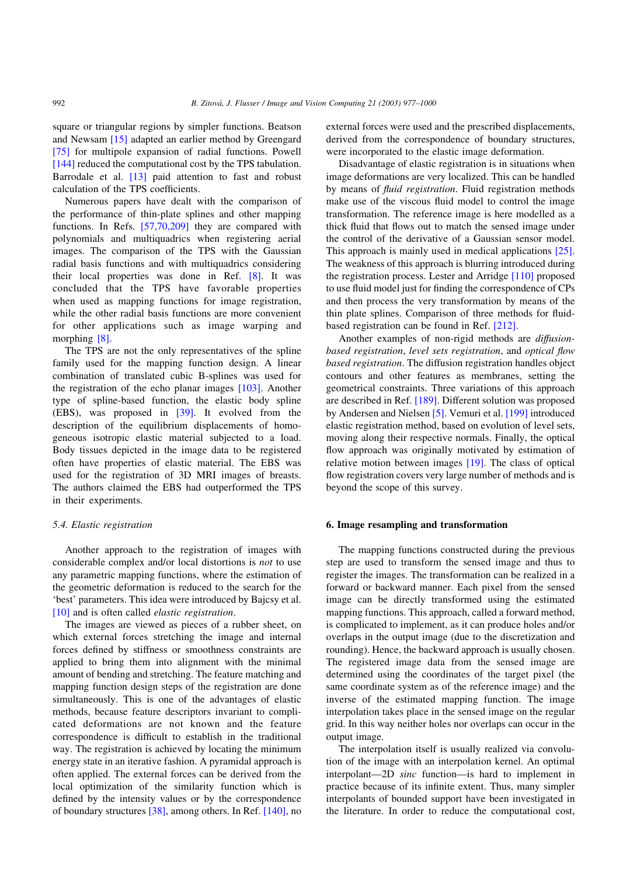square or triangular regions by simpler functions. Beatson and Newsam [\[15\]](#page-19-0) adapted an earlier method by Greengard [\[75\]](#page-20-0) for multipole expansion of radial functions. Powell [\[144\]](#page-22-0) reduced the computational cost by the TPS tabulation. Barrodale et al. [\[13\]](#page-19-0) paid attention to fast and robust calculation of the TPS coefficients.

Numerous papers have dealt with the comparison of the performance of thin-plate splines and other mapping functions. In Refs. [\[57,70,209\]](#page-20-0) they are compared with polynomials and multiquadrics when registering aerial images. The comparison of the TPS with the Gaussian radial basis functions and with multiquadrics considering their local properties was done in Ref. [\[8\]](#page-18-0). It was concluded that the TPS have favorable properties when used as mapping functions for image registration, while the other radial basis functions are more convenient for other applications such as image warping and morphing [\[8\]](#page-18-0).

The TPS are not the only representatives of the spline family used for the mapping function design. A linear combination of translated cubic B-splines was used for the registration of the echo planar images [\[103\].](#page-21-0) Another type of spline-based function, the elastic body spline (EBS), was proposed in [\[39\]](#page-19-0). It evolved from the description of the equilibrium displacements of homogeneous isotropic elastic material subjected to a load. Body tissues depicted in the image data to be registered often have properties of elastic material. The EBS was used for the registration of 3D MRI images of breasts. The authors claimed the EBS had outperformed the TPS in their experiments.

#### 5.4. Elastic registration

Another approach to the registration of images with considerable complex and/or local distortions is not to use any parametric mapping functions, where the estimation of the geometric deformation is reduced to the search for the 'best' parameters. This idea were introduced by Bajcsy et al. [\[10\]](#page-18-0) and is often called *elastic registration*.

The images are viewed as pieces of a rubber sheet, on which external forces stretching the image and internal forces defined by stiffness or smoothness constraints are applied to bring them into alignment with the minimal amount of bending and stretching. The feature matching and mapping function design steps of the registration are done simultaneously. This is one of the advantages of elastic methods, because feature descriptors invariant to complicated deformations are not known and the feature correspondence is difficult to establish in the traditional way. The registration is achieved by locating the minimum energy state in an iterative fashion. A pyramidal approach is often applied. The external forces can be derived from the local optimization of the similarity function which is defined by the intensity values or by the correspondence of boundary structures [\[38\]](#page-19-0), among others. In Ref. [\[140\],](#page-21-0) no

external forces were used and the prescribed displacements, derived from the correspondence of boundary structures, were incorporated to the elastic image deformation.

Disadvantage of elastic registration is in situations when image deformations are very localized. This can be handled by means of fluid registration. Fluid registration methods make use of the viscous fluid model to control the image transformation. The reference image is here modelled as a thick fluid that flows out to match the sensed image under the control of the derivative of a Gaussian sensor model. This approach is mainly used in medical applications [\[25\]](#page-19-0). The weakness of this approach is blurring introduced during the registration process. Lester and Arridge [\[110\]](#page-21-0) proposed to use fluid model just for finding the correspondence of CPs and then process the very transformation by means of the thin plate splines. Comparison of three methods for fluidbased registration can be found in Ref. [\[212\]](#page-23-0).

Another examples of non-rigid methods are diffusionbased registration, level sets registration, and optical flow based registration. The diffusion registration handles object contours and other features as membranes, setting the geometrical constraints. Three variations of this approach are described in Ref. [\[189\]](#page-23-0). Different solution was proposed by Andersen and Nielsen [\[5\]](#page-18-0). Vemuri et al. [\[199\]](#page-23-0) introduced elastic registration method, based on evolution of level sets, moving along their respective normals. Finally, the optical flow approach was originally motivated by estimation of relative motion between images [\[19\]](#page-19-0). The class of optical flow registration covers very large number of methods and is beyond the scope of this survey.

## 6. Image resampling and transformation

The mapping functions constructed during the previous step are used to transform the sensed image and thus to register the images. The transformation can be realized in a forward or backward manner. Each pixel from the sensed image can be directly transformed using the estimated mapping functions. This approach, called a forward method, is complicated to implement, as it can produce holes and/or overlaps in the output image (due to the discretization and rounding). Hence, the backward approach is usually chosen. The registered image data from the sensed image are determined using the coordinates of the target pixel (the same coordinate system as of the reference image) and the inverse of the estimated mapping function. The image interpolation takes place in the sensed image on the regular grid. In this way neither holes nor overlaps can occur in the output image.

The interpolation itself is usually realized via convolution of the image with an interpolation kernel. An optimal interpolant—2D sinc function—is hard to implement in practice because of its infinite extent. Thus, many simpler interpolants of bounded support have been investigated in the literature. In order to reduce the computational cost,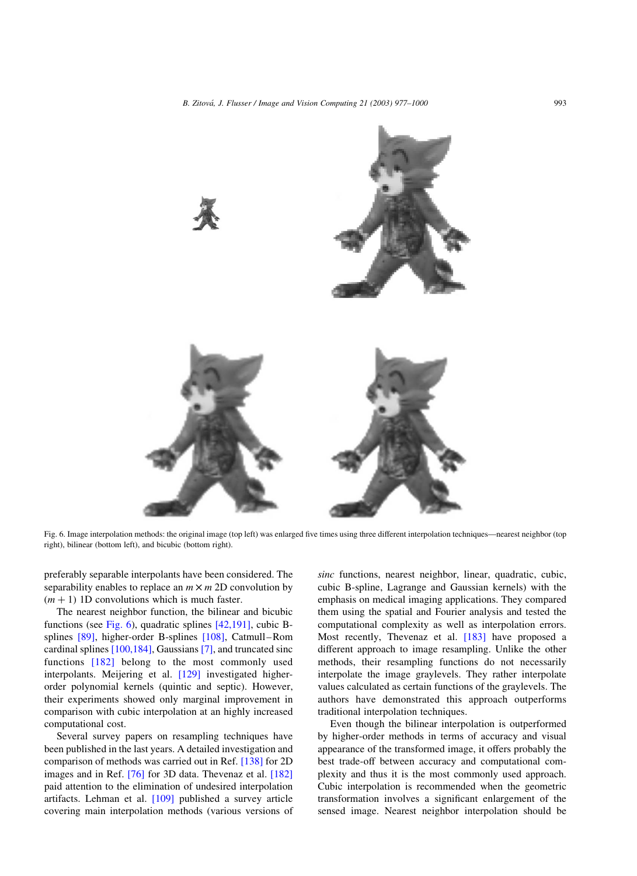

Fig. 6. Image interpolation methods: the original image (top left) was enlarged five times using three different interpolation techniques—nearest neighbor (top right), bilinear (bottom left), and bicubic (bottom right).

preferably separable interpolants have been considered. The separability enables to replace an  $m \times m$  2D convolution by  $(m + 1)$  1D convolutions which is much faster.

The nearest neighbor function, the bilinear and bicubic functions (see Fig. 6), quadratic splines [\[42,191\]](#page-19-0), cubic Bsplines [\[89\]](#page-20-0), higher-order B-splines [\[108\]](#page-21-0), Catmull–Rom cardinal splines [\[100,184\],](#page-21-0) Gaussians [\[7\],](#page-18-0) and truncated sinc functions [\[182\]](#page-22-0) belong to the most commonly used interpolants. Meijering et al. [\[129\]](#page-21-0) investigated higherorder polynomial kernels (quintic and septic). However, their experiments showed only marginal improvement in comparison with cubic interpolation at an highly increased computational cost.

Several survey papers on resampling techniques have been published in the last years. A detailed investigation and comparison of methods was carried out in Ref. [\[138\]](#page-21-0) for 2D images and in Ref. [\[76\]](#page-20-0) for 3D data. Thevenaz et al. [\[182\]](#page-22-0) paid attention to the elimination of undesired interpolation artifacts. Lehman et al. [\[109\]](#page-21-0) published a survey article covering main interpolation methods (various versions of sinc functions, nearest neighbor, linear, quadratic, cubic, cubic B-spline, Lagrange and Gaussian kernels) with the emphasis on medical imaging applications. They compared them using the spatial and Fourier analysis and tested the computational complexity as well as interpolation errors. Most recently, Thevenaz et al. [\[183\]](#page-22-0) have proposed a different approach to image resampling. Unlike the other methods, their resampling functions do not necessarily interpolate the image graylevels. They rather interpolate values calculated as certain functions of the graylevels. The authors have demonstrated this approach outperforms traditional interpolation techniques.

Even though the bilinear interpolation is outperformed by higher-order methods in terms of accuracy and visual appearance of the transformed image, it offers probably the best trade-off between accuracy and computational complexity and thus it is the most commonly used approach. Cubic interpolation is recommended when the geometric transformation involves a significant enlargement of the sensed image. Nearest neighbor interpolation should be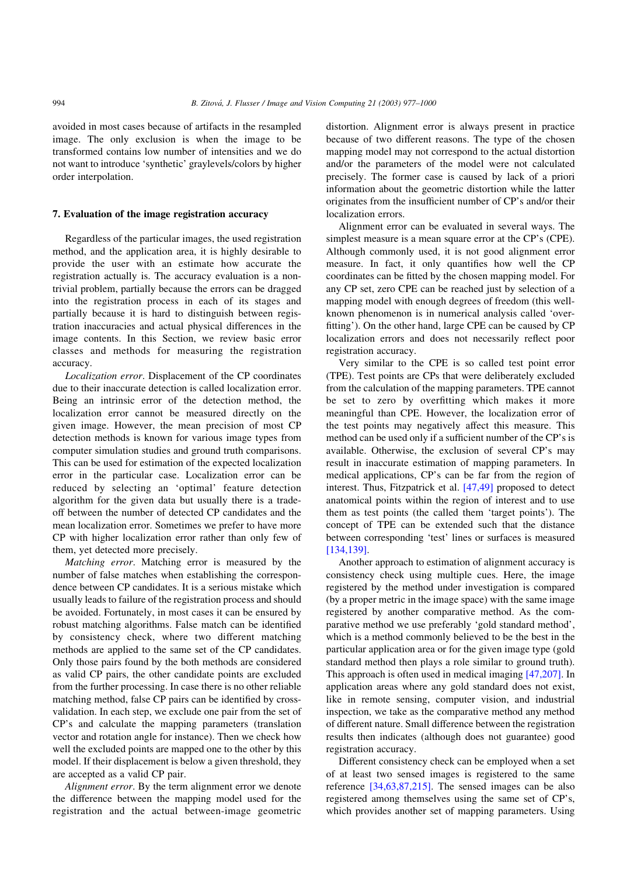avoided in most cases because of artifacts in the resampled image. The only exclusion is when the image to be transformed contains low number of intensities and we do not want to introduce 'synthetic' graylevels/colors by higher order interpolation.

# 7. Evaluation of the image registration accuracy

Regardless of the particular images, the used registration method, and the application area, it is highly desirable to provide the user with an estimate how accurate the registration actually is. The accuracy evaluation is a nontrivial problem, partially because the errors can be dragged into the registration process in each of its stages and partially because it is hard to distinguish between registration inaccuracies and actual physical differences in the image contents. In this Section, we review basic error classes and methods for measuring the registration accuracy.

Localization error. Displacement of the CP coordinates due to their inaccurate detection is called localization error. Being an intrinsic error of the detection method, the localization error cannot be measured directly on the given image. However, the mean precision of most CP detection methods is known for various image types from computer simulation studies and ground truth comparisons. This can be used for estimation of the expected localization error in the particular case. Localization error can be reduced by selecting an 'optimal' feature detection algorithm for the given data but usually there is a tradeoff between the number of detected CP candidates and the mean localization error. Sometimes we prefer to have more CP with higher localization error rather than only few of them, yet detected more precisely.

Matching error. Matching error is measured by the number of false matches when establishing the correspondence between CP candidates. It is a serious mistake which usually leads to failure of the registration process and should be avoided. Fortunately, in most cases it can be ensured by robust matching algorithms. False match can be identified by consistency check, where two different matching methods are applied to the same set of the CP candidates. Only those pairs found by the both methods are considered as valid CP pairs, the other candidate points are excluded from the further processing. In case there is no other reliable matching method, false CP pairs can be identified by crossvalidation. In each step, we exclude one pair from the set of CP's and calculate the mapping parameters (translation vector and rotation angle for instance). Then we check how well the excluded points are mapped one to the other by this model. If their displacement is below a given threshold, they are accepted as a valid CP pair.

Alignment error. By the term alignment error we denote the difference between the mapping model used for the registration and the actual between-image geometric

distortion. Alignment error is always present in practice because of two different reasons. The type of the chosen mapping model may not correspond to the actual distortion and/or the parameters of the model were not calculated precisely. The former case is caused by lack of a priori information about the geometric distortion while the latter originates from the insufficient number of CP's and/or their localization errors.

Alignment error can be evaluated in several ways. The simplest measure is a mean square error at the CP's (CPE). Although commonly used, it is not good alignment error measure. In fact, it only quantifies how well the CP coordinates can be fitted by the chosen mapping model. For any CP set, zero CPE can be reached just by selection of a mapping model with enough degrees of freedom (this wellknown phenomenon is in numerical analysis called 'overfitting'). On the other hand, large CPE can be caused by CP localization errors and does not necessarily reflect poor registration accuracy.

Very similar to the CPE is so called test point error (TPE). Test points are CPs that were deliberately excluded from the calculation of the mapping parameters. TPE cannot be set to zero by overfitting which makes it more meaningful than CPE. However, the localization error of the test points may negatively affect this measure. This method can be used only if a sufficient number of the CP's is available. Otherwise, the exclusion of several CP's may result in inaccurate estimation of mapping parameters. In medical applications, CP's can be far from the region of interest. Thus, Fitzpatrick et al. [\[47,49\]](#page-19-0) proposed to detect anatomical points within the region of interest and to use them as test points (the called them 'target points'). The concept of TPE can be extended such that the distance between corresponding 'test' lines or surfaces is measured [\[134,139\].](#page-21-0)

Another approach to estimation of alignment accuracy is consistency check using multiple cues. Here, the image registered by the method under investigation is compared (by a proper metric in the image space) with the same image registered by another comparative method. As the comparative method we use preferably 'gold standard method', which is a method commonly believed to be the best in the particular application area or for the given image type (gold standard method then plays a role similar to ground truth). This approach is often used in medical imaging [\[47,207\].](#page-19-0) In application areas where any gold standard does not exist, like in remote sensing, computer vision, and industrial inspection, we take as the comparative method any method of different nature. Small difference between the registration results then indicates (although does not guarantee) good registration accuracy.

Different consistency check can be employed when a set of at least two sensed images is registered to the same reference [\[34,63,87,215\]](#page-19-0). The sensed images can be also registered among themselves using the same set of CP's, which provides another set of mapping parameters. Using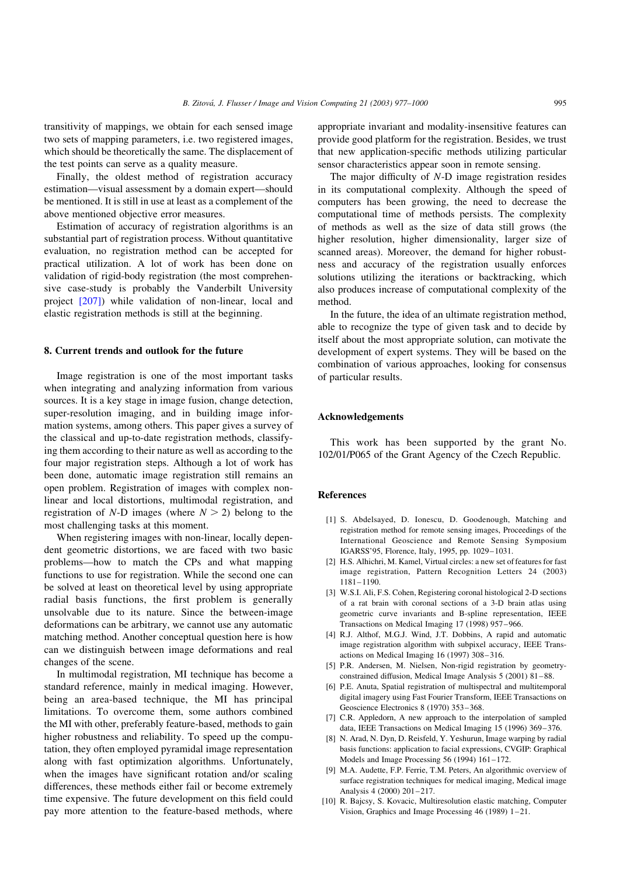<span id="page-18-0"></span>transitivity of mappings, we obtain for each sensed image two sets of mapping parameters, i.e. two registered images, which should be theoretically the same. The displacement of the test points can serve as a quality measure.

Finally, the oldest method of registration accuracy estimation—visual assessment by a domain expert—should be mentioned. It is still in use at least as a complement of the above mentioned objective error measures.

Estimation of accuracy of registration algorithms is an substantial part of registration process. Without quantitative evaluation, no registration method can be accepted for practical utilization. A lot of work has been done on validation of rigid-body registration (the most comprehensive case-study is probably the Vanderbilt University project [\[207\]](#page-23-0)) while validation of non-linear, local and elastic registration methods is still at the beginning.

## 8. Current trends and outlook for the future

Image registration is one of the most important tasks when integrating and analyzing information from various sources. It is a key stage in image fusion, change detection, super-resolution imaging, and in building image information systems, among others. This paper gives a survey of the classical and up-to-date registration methods, classifying them according to their nature as well as according to the four major registration steps. Although a lot of work has been done, automatic image registration still remains an open problem. Registration of images with complex nonlinear and local distortions, multimodal registration, and registration of N-D images (where  $N > 2$ ) belong to the most challenging tasks at this moment.

When registering images with non-linear, locally dependent geometric distortions, we are faced with two basic problems—how to match the CPs and what mapping functions to use for registration. While the second one can be solved at least on theoretical level by using appropriate radial basis functions, the first problem is generally unsolvable due to its nature. Since the between-image deformations can be arbitrary, we cannot use any automatic matching method. Another conceptual question here is how can we distinguish between image deformations and real changes of the scene.

In multimodal registration, MI technique has become a standard reference, mainly in medical imaging. However, being an area-based technique, the MI has principal limitations. To overcome them, some authors combined the MI with other, preferably feature-based, methods to gain higher robustness and reliability. To speed up the computation, they often employed pyramidal image representation along with fast optimization algorithms. Unfortunately, when the images have significant rotation and/or scaling differences, these methods either fail or become extremely time expensive. The future development on this field could pay more attention to the feature-based methods, where

appropriate invariant and modality-insensitive features can provide good platform for the registration. Besides, we trust that new application-specific methods utilizing particular sensor characteristics appear soon in remote sensing.

The major difficulty of N-D image registration resides in its computational complexity. Although the speed of computers has been growing, the need to decrease the computational time of methods persists. The complexity of methods as well as the size of data still grows (the higher resolution, higher dimensionality, larger size of scanned areas). Moreover, the demand for higher robustness and accuracy of the registration usually enforces solutions utilizing the iterations or backtracking, which also produces increase of computational complexity of the method.

In the future, the idea of an ultimate registration method, able to recognize the type of given task and to decide by itself about the most appropriate solution, can motivate the development of expert systems. They will be based on the combination of various approaches, looking for consensus of particular results.

# Acknowledgements

This work has been supported by the grant No. 102/01/P065 of the Grant Agency of the Czech Republic.

# References

- [1] S. Abdelsayed, D. Ionescu, D. Goodenough, Matching and registration method for remote sensing images, Proceedings of the International Geoscience and Remote Sensing Symposium IGARSS'95, Florence, Italy, 1995, pp. 1029–1031.
- [2] H.S. Alhichri, M. Kamel, Virtual circles: a new set of features for fast image registration, Pattern Recognition Letters 24 (2003) 1181–1190.
- [3] W.S.I. Ali, F.S. Cohen, Registering coronal histological 2-D sections of a rat brain with coronal sections of a 3-D brain atlas using geometric curve invariants and B-spline representation, IEEE Transactions on Medical Imaging 17 (1998) 957–966.
- [4] R.J. Althof, M.G.J. Wind, J.T. Dobbins, A rapid and automatic image registration algorithm with subpixel accuracy, IEEE Transactions on Medical Imaging 16 (1997) 308–316.
- [5] P.R. Andersen, M. Nielsen, Non-rigid registration by geometryconstrained diffusion, Medical Image Analysis 5 (2001) 81–88.
- [6] P.E. Anuta, Spatial registration of multispectral and multitemporal digital imagery using Fast Fourier Transform, IEEE Transactions on Geoscience Electronics 8 (1970) 353–368.
- [7] C.R. Appledorn, A new approach to the interpolation of sampled data, IEEE Transactions on Medical Imaging 15 (1996) 369–376.
- [8] N. Arad, N. Dyn, D. Reisfeld, Y. Yeshurun, Image warping by radial basis functions: application to facial expressions, CVGIP: Graphical Models and Image Processing 56 (1994) 161–172.
- [9] M.A. Audette, F.P. Ferrie, T.M. Peters, An algorithmic overview of surface registration techniques for medical imaging, Medical image Analysis 4 (2000) 201–217.
- [10] R. Bajcsy, S. Kovacic, Multiresolution elastic matching, Computer Vision, Graphics and Image Processing 46 (1989) 1–21.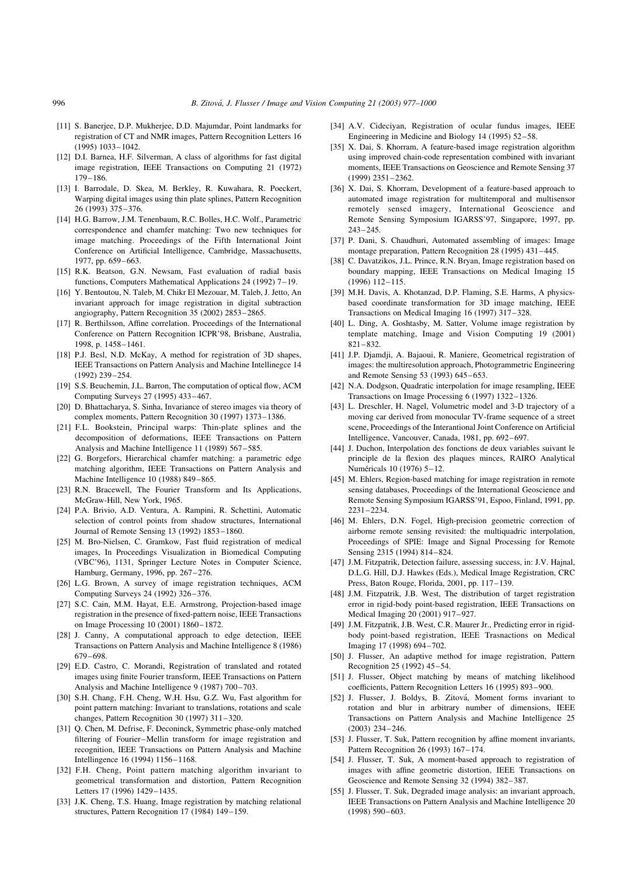- <span id="page-19-0"></span>[11] S. Banerjee, D.P. Mukherjee, D.D. Majumdar, Point landmarks for registration of CT and NMR images, Pattern Recognition Letters 16 (1995) 1033–1042.
- [12] D.I. Barnea, H.F. Silverman, A class of algorithms for fast digital image registration, IEEE Transactions on Computing 21 (1972) 179–186.
- [13] I. Barrodale, D. Skea, M. Berkley, R. Kuwahara, R. Poeckert, Warping digital images using thin plate splines, Pattern Recognition 26 (1993) 375–376.
- [14] H.G. Barrow, J.M. Tenenbaum, R.C. Bolles, H.C. Wolf., Parametric correspondence and chamfer matching: Two new techniques for image matching. Proceedings of the Fifth International Joint Conference on Artificial Intelligence, Cambridge, Massachusetts, 1977, pp. 659–663.
- [15] R.K. Beatson, G.N. Newsam, Fast evaluation of radial basis functions, Computers Mathematical Applications 24 (1992) 7–19.
- [16] Y. Bentoutou, N. Taleb, M. Chikr El Mezouar, M. Taleb, J. Jetto, An invariant approach for image registration in digital subtraction angiography, Pattern Recognition 35 (2002) 2853–2865.
- [17] R. Berthilsson, Affine correlation. Proceedings of the International Conference on Pattern Recognition ICPR'98, Brisbane, Australia, 1998, p. 1458–1461.
- [18] P.J. Besl, N.D. McKay, A method for registration of 3D shapes, IEEE Transactions on Pattern Analysis and Machine Intellinegce 14 (1992) 239–254.
- [19] S.S. Beuchemin, J.L. Barron, The computation of optical flow, ACM Computing Surveys 27 (1995) 433–467.
- [20] D. Bhattacharya, S. Sinha, Invariance of stereo images via theory of complex moments, Pattern Recognition 30 (1997) 1373–1386.
- [21] F.L. Bookstein, Principal warps: Thin-plate splines and the decomposition of deformations, IEEE Transactions on Pattern Analysis and Machine Intelligence 11 (1989) 567–585.
- [22] G. Borgefors, Hierarchical chamfer matching: a parametric edge matching algorithm, IEEE Transactions on Pattern Analysis and Machine Intelligence 10 (1988) 849–865.
- [23] R.N. Bracewell, The Fourier Transform and Its Applications, McGraw-Hill, New York, 1965.
- [24] P.A. Brivio, A.D. Ventura, A. Rampini, R. Schettini, Automatic selection of control points from shadow structures, International Journal of Remote Sensing 13 (1992) 1853–1860.
- [25] M. Bro-Nielsen, C. Gramkow, Fast fluid registration of medical images, In Proceedings Visualization in Biomedical Computing (VBC'96), 1131, Springer Lecture Notes in Computer Science, Hamburg, Germany, 1996, pp. 267–276.
- [26] L.G. Brown, A survey of image registration techniques, ACM Computing Surveys 24 (1992) 326–376.
- [27] S.C. Cain, M.M. Hayat, E.E. Armstrong, Projection-based image registration in the presence of fixed-pattern noise, IEEE Transactions on Image Processing 10 (2001) 1860–1872.
- [28] J. Canny, A computational approach to edge detection, IEEE Transactions on Pattern Analysis and Machine Intelligence 8 (1986) 679–698.
- [29] E.D. Castro, C. Morandi, Registration of translated and rotated images using finite Fourier transform, IEEE Transactions on Pattern Analysis and Machine Intelligence 9 (1987) 700–703.
- [30] S.H. Chang, F.H. Cheng, W.H. Hsu, G.Z. Wu, Fast algorithm for point pattern matching: Invariant to translations, rotations and scale changes, Pattern Recognition 30 (1997) 311–320.
- [31] Q. Chen, M. Defrise, F. Deconinck, Symmetric phase-only matched filtering of Fourier–Mellin transform for image registration and recognition, IEEE Transactions on Pattern Analysis and Machine Intellingence 16 (1994) 1156–1168.
- [32] F.H. Cheng, Point pattern matching algorithm invariant to geometrical transformation and distortion, Pattern Recognition Letters 17 (1996) 1429–1435.
- [33] J.K. Cheng, T.S. Huang, Image registration by matching relational structures, Pattern Recognition 17 (1984) 149–159.
- [34] A.V. Cideciyan, Registration of ocular fundus images, IEEE Engineering in Medicine and Biology 14 (1995) 52–58.
- [35] X. Dai, S. Khorram, A feature-based image registration algorithm using improved chain-code representation combined with invariant moments, IEEE Transactions on Geoscience and Remote Sensing 37 (1999) 2351–2362.
- [36] X. Dai, S. Khorram, Development of a feature-based approach to automated image registration for multitemporal and multisensor remotely sensed imagery, International Geoscience and Remote Sensing Symposium IGARSS'97, Singapore, 1997, pp. 243–245.
- [37] P. Dani, S. Chaudhuri, Automated assembling of images: Image montage preparation, Pattern Recognition 28 (1995) 431–445.
- [38] C. Davatzikos, J.L. Prince, R.N. Bryan, Image registration based on boundary mapping, IEEE Transactions on Medical Imaging 15 (1996) 112–115.
- [39] M.H. Davis, A. Khotanzad, D.P. Flaming, S.E. Harms, A physicsbased coordinate transformation for 3D image matching, IEEE Transactions on Medical Imaging 16 (1997) 317–328.
- [40] L. Ding, A. Goshtasby, M. Satter, Volume image registration by template matching, Image and Vision Computing 19 (2001) 821–832.
- [41] J.P. Djamdji, A. Bajaoui, R. Maniere, Geometrical registration of images: the multiresolution approach, Photogrammetric Engineering and Remote Sensing 53 (1993) 645–653.
- [42] N.A. Dodgson, Quadratic interpolation for image resampling, IEEE Transactions on Image Processing 6 (1997) 1322–1326.
- [43] L. Dreschler, H. Nagel, Volumetric model and 3-D trajectory of a moving car derived from monocular TV-frame sequence of a street scene, Proceedings of the Interantional Joint Conference on Artificial Intelligence, Vancouver, Canada, 1981, pp. 692–697.
- [44] J. Duchon, Interpolation des fonctions de deux variables suivant le principle de la flexion des plaques minces, RAIRO Analytical Numéricals 10 (1976) 5-12.
- [45] M. Ehlers, Region-based matching for image registration in remote sensing databases, Proceedings of the International Geoscience and Remote Sensing Symposium IGARSS'91, Espoo, Finland, 1991, pp. 2231–2234.
- [46] M. Ehlers, D.N. Fogel, High-precision geometric correction of airborne remote sensing revisited: the multiquadric interpolation, Proceedings of SPIE: Image and Signal Processing for Remote Sensing 2315 (1994) 814–824.
- [47] J.M. Fitzpatrik, Detection failure, assessing success, in: J.V. Hajnal, D.L.G. Hill, D.J. Hawkes (Eds.), Medical Image Registration, CRC Press, Baton Rouge, Florida, 2001, pp. 117–139.
- [48] J.M. Fitzpatrik, J.B. West, The distribution of target registration error in rigid-body point-based registration, IEEE Transactions on Medical Imaging 20 (2001) 917–927.
- [49] J.M. Fitzpatrik, J.B. West, C.R. Maurer Jr., Predicting error in rigidbody point-based registration, IEEE Trasnactions on Medical Imaging 17 (1998) 694–702.
- [50] J. Flusser, An adaptive method for image registration, Pattern Recognition 25 (1992) 45–54.
- [51] J. Flusser, Object matching by means of matching likelihood coefficients, Pattern Recognition Letters 16 (1995) 893–900.
- [52] J. Flusser, J. Boldys, B. Zitová, Moment forms invariant to rotation and blur in arbitrary number of dimensions, IEEE Transactions on Pattern Analysis and Machine Intelligence 25 (2003) 234–246.
- [53] J. Flusser, T. Suk, Pattern recognition by affine moment invariants, Pattern Recognition 26 (1993) 167–174.
- [54] J. Flusser, T. Suk, A moment-based approach to registration of images with affine geometric distortion, IEEE Transactions on Geoscience and Remote Sensing 32 (1994) 382–387.
- [55] J. Flusser, T. Suk, Degraded image analysis: an invariant approach, IEEE Transactions on Pattern Analysis and Machine Intelligence 20 (1998) 590–603.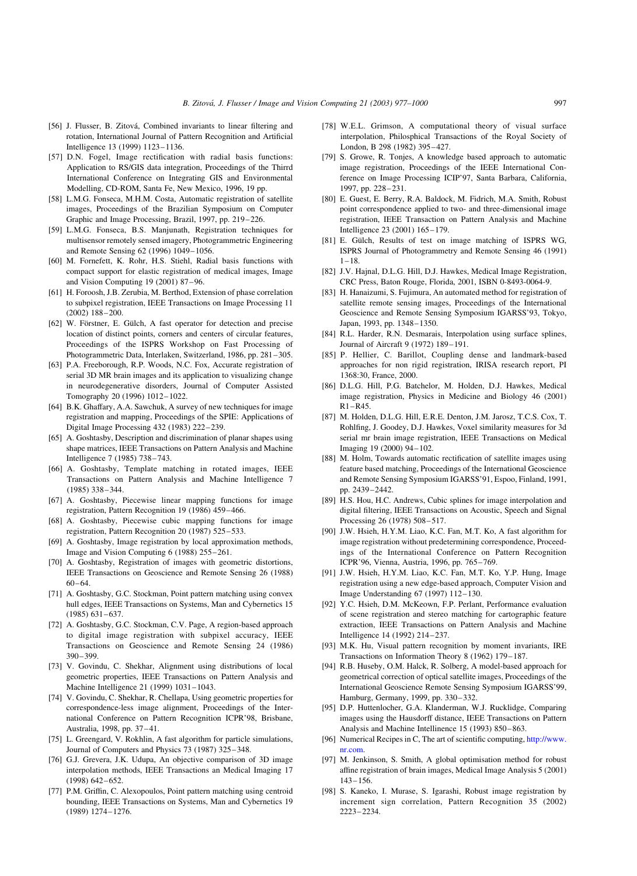- <span id="page-20-0"></span>[56] J. Flusser, B. Zitová, Combined invariants to linear filtering and rotation, International Journal of Pattern Recognition and Artificial Intelligence 13 (1999) 1123–1136.
- [57] D.N. Fogel, Image rectification with radial basis functions: Application to RS/GIS data integration, Proceedings of the Thirrd International Conference on Integrating GIS and Environmental Modelling, CD-ROM, Santa Fe, New Mexico, 1996, 19 pp.
- [58] L.M.G. Fonseca, M.H.M. Costa, Automatic registration of satellite images, Proceedings of the Brazilian Symposium on Computer Graphic and Image Processing, Brazil, 1997, pp. 219–226.
- [59] L.M.G. Fonseca, B.S. Manjunath, Registration techniques for multisensor remotely sensed imagery, Photogrammetric Engineering and Remote Sensing 62 (1996) 1049–1056.
- [60] M. Fornefett, K. Rohr, H.S. Stiehl, Radial basis functions with compact support for elastic registration of medical images, Image and Vision Computing 19 (2001) 87–96.
- [61] H. Foroosh, J.B. Zerubia, M. Berthod, Extension of phase correlation to subpixel registration, IEEE Transactions on Image Processing 11 (2002) 188–200.
- [62] W. Förstner, E. Gülch, A fast operator for detection and precise location of distinct points, corners and centers of circular features, Proceedings of the ISPRS Workshop on Fast Processing of Photogrammetric Data, Interlaken, Switzerland, 1986, pp. 281–305.
- [63] P.A. Freeborough, R.P. Woods, N.C. Fox, Accurate registration of serial 3D MR brain images and its application to visualizing change in neurodegenerative disorders, Journal of Computer Assisted Tomography 20 (1996) 1012–1022.
- [64] B.K. Ghaffary, A.A. Sawchuk, A survey of new techniques for image registration and mapping, Proceedings of the SPIE: Applications of Digital Image Processing 432 (1983) 222–239.
- [65] A. Goshtasby, Description and discrimination of planar shapes using shape matrices, IEEE Transactions on Pattern Analysis and Machine Intelligence 7 (1985) 738–743.
- [66] A. Goshtasby, Template matching in rotated images, IEEE Transactions on Pattern Analysis and Machine Intelligence 7 (1985) 338–344.
- [67] A. Goshtasby, Piecewise linear mapping functions for image registration, Pattern Recognition 19 (1986) 459–466.
- [68] A. Goshtasby, Piecewise cubic mapping functions for image registration, Pattern Recognition 20 (1987) 525–533.
- [69] A. Goshtasby, Image registration by local approximation methods, Image and Vision Computing 6 (1988) 255–261.
- [70] A. Goshtasby, Registration of images with geometric distortions, IEEE Transactions on Geoscience and Remote Sensing 26 (1988) 60–64.
- [71] A. Goshtasby, G.C. Stockman, Point pattern matching using convex hull edges, IEEE Transactions on Systems, Man and Cybernetics 15 (1985) 631–637.
- [72] A. Goshtasby, G.C. Stockman, C.V. Page, A region-based approach to digital image registration with subpixel accuracy, IEEE Transactions on Geoscience and Remote Sensing 24 (1986) 390–399.
- [73] V. Govindu, C. Shekhar, Alignment using distributions of local geometric properties, IEEE Transactions on Pattern Analysis and Machine Intelligence 21 (1999) 1031–1043.
- [74] V. Govindu, C. Shekhar, R. Chellapa, Using geometric properties for correspondence-less image alignment, Proceedings of the International Conference on Pattern Recognition ICPR'98, Brisbane, Australia, 1998, pp. 37–41.
- [75] L. Greengard, V. Rokhlin, A fast algorithm for particle simulations, Journal of Computers and Physics 73 (1987) 325–348.
- [76] G.J. Grevera, J.K. Udupa, An objective comparison of 3D image interpolation methods, IEEE Transactions an Medical Imaging 17 (1998) 642–652.
- [77] P.M. Griffin, C. Alexopoulos, Point pattern matching using centroid bounding, IEEE Transactions on Systems, Man and Cybernetics 19 (1989) 1274–1276.
- [78] W.E.L. Grimson, A computational theory of visual surface interpolation, Philosphical Transactions of the Royal Society of London, B 298 (1982) 395–427.
- [79] S. Growe, R. Tonjes, A knowledge based approach to automatic image registration, Proceedings of the IEEE International Conference on Image Processing ICIP'97, Santa Barbara, California, 1997, pp. 228–231.
- [80] E. Guest, E. Berry, R.A. Baldock, M. Fidrich, M.A. Smith, Robust point correspondence applied to two- and three-dimensional image registration, IEEE Transaction on Pattern Analysis and Machine Intelligence 23 (2001) 165–179.
- [81] E. Gülch, Results of test on image matching of ISPRS WG, ISPRS Journal of Photogrammetry and Remote Sensing 46 (1991)  $1 - 18$
- [82] J.V. Hajnal, D.L.G. Hill, D.J. Hawkes, Medical Image Registration, CRC Press, Baton Rouge, Florida, 2001, ISBN 0-8493-0064-9.
- [83] H. Hanaizumi, S. Fujimura, An automated method for registration of satellite remote sensing images, Proceedings of the International Geoscience and Remote Sensing Symposium IGARSS'93, Tokyo, Japan, 1993, pp. 1348–1350.
- [84] R.L. Harder, R.N. Desmarais, Interpolation using surface splines, Journal of Aircraft 9 (1972) 189–191.
- [85] P. Hellier, C. Barillot, Coupling dense and landmark-based approaches for non rigid registration, IRISA research report, PI 1368:30, France, 2000.
- [86] D.L.G. Hill, P.G. Batchelor, M. Holden, D.J. Hawkes, Medical image registration, Physics in Medicine and Biology 46 (2001)  $R1 - R45.$
- [87] M. Holden, D.L.G. Hill, E.R.E. Denton, J.M. Jarosz, T.C.S. Cox, T. Rohlfing, J. Goodey, D.J. Hawkes, Voxel similarity measures for 3d serial mr brain image registration, IEEE Transactions on Medical Imaging 19 (2000) 94–102.
- [88] M. Holm, Towards automatic rectification of satellite images using feature based matching, Proceedings of the International Geoscience and Remote Sensing Symposium IGARSS'91, Espoo, Finland, 1991, pp. 2439–2442.
- [89] H.S. Hou, H.C. Andrews, Cubic splines for image interpolation and digital filtering, IEEE Transactions on Acoustic, Speech and Signal Processing 26 (1978) 508–517.
- [90] J.W. Hsieh, H.Y.M. Liao, K.C. Fan, M.T. Ko, A fast algorithm for image registration without predetermining correspondence, Proceedings of the International Conference on Pattern Recognition ICPR'96, Vienna, Austria, 1996, pp. 765–769.
- [91] J.W. Hsieh, H.Y.M. Liao, K.C. Fan, M.T. Ko, Y.P. Hung, Image registration using a new edge-based approach, Computer Vision and Image Understanding 67 (1997) 112–130.
- [92] Y.C. Hsieh, D.M. McKeown, F.P. Perlant, Performance evaluation of scene registration and stereo matching for cartographic feature extraction, IEEE Transactions on Pattern Analysis and Machine Intelligence 14 (1992) 214–237.
- [93] M.K. Hu, Visual pattern recognition by moment invariants, IRE Transactions on Information Theory 8 (1962) 179–187.
- [94] R.B. Huseby, O.M. Halck, R. Solberg, A model-based approach for geometrical correction of optical satellite images, Proceedings of the International Geoscience Remote Sensing Symposium IGARSS'99, Hamburg, Germany, 1999, pp. 330–332.
- [95] D.P. Huttenlocher, G.A. Klanderman, W.J. Rucklidge, Comparing images using the Hausdorff distance, IEEE Transactions on Pattern Analysis and Machine Intellinence 15 (1993) 850–863.
- [96] Numerical Recipes in C, The art of scientific computing, [http://www.](http://www.nr.com) [nr.com](http://www.nr.com).
- [97] M. Jenkinson, S. Smith, A global optimisation method for robust affine registration of brain images, Medical Image Analysis 5 (2001) 143–156.
- [98] S. Kaneko, I. Murase, S. Igarashi, Robust image registration by increment sign correlation, Pattern Recognition 35 (2002) 2223–2234.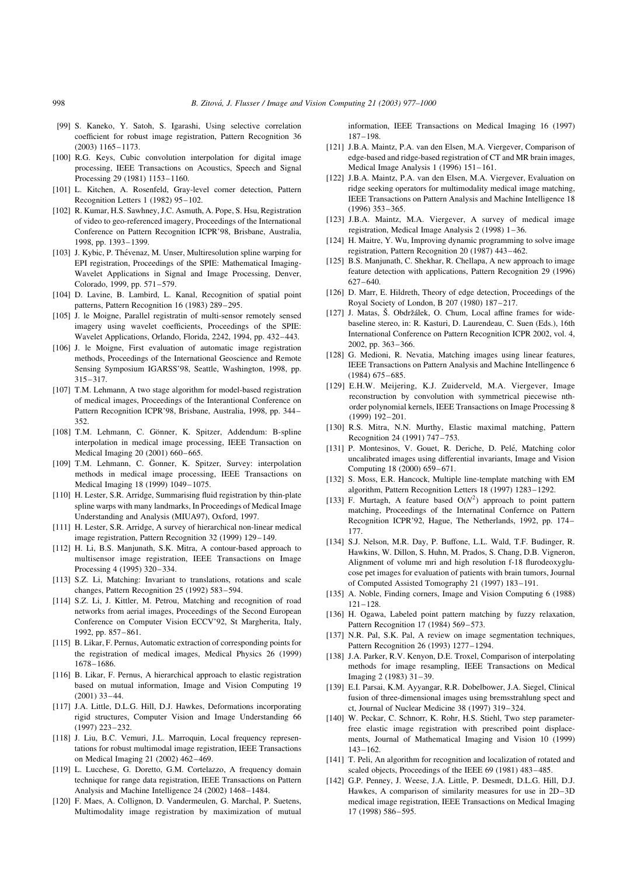- [99] S. Kaneko, Y. Satoh, S. Igarashi, Using selective correlation coefficient for robust image registration, Pattern Recognition 36 (2003) 1165–1173.
- [100] R.G. Keys, Cubic convolution interpolation for digital image processing, IEEE Transactions on Acoustics, Speech and Signal Processing 29 (1981) 1153–1160.
- [101] L. Kitchen, A. Rosenfeld, Grav-level corner detection, Pattern Recognition Letters 1 (1982) 95–102.
- [102] R. Kumar, H.S. Sawhney, J.C. Asmuth, A. Pope, S. Hsu, Registration of video to geo-referenced imagery, Proceedings of the International Conference on Pattern Recognition ICPR'98, Brisbane, Australia, 1998, pp. 1393–1399.
- [103] J. Kybic, P. Thévenaz, M. Unser, Multiresolution spline warping for EPI registration, Proceedings of the SPIE: Mathematical Imaging-Wavelet Applications in Signal and Image Processing, Denver, Colorado, 1999, pp. 571–579.
- [104] D. Lavine, B. Lambird, L. Kanal, Recognition of spatial point patterns, Pattern Recognition 16 (1983) 289–295.
- [105] J. le Moigne, Parallel registratin of multi-sensor remotely sensed imagery using wavelet coefficients, Proceedings of the SPIE: Wavelet Applications, Orlando, Florida, 2242, 1994, pp. 432–443.
- [106] J. le Moigne, First evaluation of automatic image registration methods, Proceedings of the International Geoscience and Remote Sensing Symposium IGARSS'98, Seattle, Washington, 1998, pp. 315–317.
- [107] T.M. Lehmann, A two stage algorithm for model-based registration of medical images, Proceedings of the Interantional Conference on Pattern Recognition ICPR'98, Brisbane, Australia, 1998, pp. 344– 352.
- [108] T.M. Lehmann, C. Gönner, K. Spitzer, Addendum: B-spline interpolation in medical image processing, IEEE Transaction on Medical Imaging 20 (2001) 660–665.
- [109] T.M. Lehmann, C. Gonner, K. Spitzer, Survey: interpolation methods in medical image processing, IEEE Transactions on Medical Imaging 18 (1999) 1049–1075.
- [110] H. Lester, S.R. Arridge, Summarising fluid registration by thin-plate spline warps with many landmarks, In Proceedings of Medical Image Understanding and Analysis (MIUA97), Oxford, 1997.
- [111] H. Lester, S.R. Arridge, A survey of hierarchical non-linear medical image registration, Pattern Recognition 32 (1999) 129–149.
- [112] H. Li, B.S. Manjunath, S.K. Mitra, A contour-based approach to multisensor image registration, IEEE Transactions on Image Processing 4 (1995) 320–334.
- [113] S.Z. Li, Matching: Invariant to translations, rotations and scale changes, Pattern Recognition 25 (1992) 583–594.
- [114] S.Z. Li, J. Kittler, M. Petrou, Matching and recognition of road networks from aerial images, Proceedings of the Second European Conference on Computer Vision ECCV'92, St Margherita, Italy, 1992, pp. 857–861.
- [115] B. Likar, F. Pernus, Automatic extraction of corresponding points for the registration of medical images, Medical Physics 26 (1999) 1678–1686.
- [116] B. Likar, F. Pernus, A hierarchical approach to elastic registration based on mutual information, Image and Vision Computing 19 (2001) 33–44.
- [117] J.A. Little, D.L.G. Hill, D.J. Hawkes, Deformations incorporating rigid structures, Computer Vision and Image Understanding 66 (1997) 223–232.
- [118] J. Liu, B.C. Vemuri, J.L. Marroquin, Local frequency representations for robust multimodal image registration, IEEE Transactions on Medical Imaging 21 (2002) 462–469.
- [119] L. Lucchese, G. Doretto, G.M. Cortelazzo, A frequency domain technique for range data registration, IEEE Transactions on Pattern Analysis and Machine Intelligence 24 (2002) 1468–1484.
- [120] F. Maes, A. Collignon, D. Vandermeulen, G. Marchal, P. Suetens, Multimodality image registration by maximization of mutual

information, IEEE Transactions on Medical Imaging 16 (1997) 187–198.

- [121] J.B.A. Maintz, P.A. van den Elsen, M.A. Viergever, Comparison of edge-based and ridge-based registration of CT and MR brain images, Medical Image Analysis 1 (1996) 151–161.
- [122] J.B.A. Maintz, P.A. van den Elsen, M.A. Viergever, Evaluation on ridge seeking operators for multimodality medical image matching, IEEE Transactions on Pattern Analysis and Machine Intelligence 18 (1996) 353–365.
- [123] J.B.A. Maintz, M.A. Viergever, A survey of medical image registration, Medical Image Analysis 2 (1998) 1–36.
- [124] H. Maitre, Y. Wu, Improving dynamic programming to solve image registration, Pattern Recognition 20 (1987) 443–462.
- [125] B.S. Manjunath, C. Shekhar, R. Chellapa, A new approach to image feature detection with applications, Pattern Recognition 29 (1996) 627–640.
- [126] D. Marr, E. Hildreth, Theory of edge detection, Proceedings of the Royal Society of London, B 207 (1980) 187–217.
- [127] J. Matas, Š. Obdržálek, O. Chum, Local affine frames for widebaseline stereo, in: R. Kasturi, D. Laurendeau, C. Suen (Eds.), 16th International Conference on Pattern Recognition ICPR 2002, vol. 4, 2002, pp. 363–366.
- [128] G. Medioni, R. Nevatia, Matching images using linear features, IEEE Transactions on Pattern Analysis and Machine Intellingence 6 (1984) 675–685.
- [129] E.H.W. Meijering, K.J. Zuiderveld, M.A. Viergever, Image reconstruction by convolution with symmetrical piecewise nthorder polynomial kernels, IEEE Transactions on Image Processing 8 (1999) 192–201.
- [130] R.S. Mitra, N.N. Murthy, Elastic maximal matching, Pattern Recognition 24 (1991) 747–753.
- [131] P. Montesinos, V. Gouet, R. Deriche, D. Pelé, Matching color uncalibrated images using differential invariants, Image and Vision Computing 18 (2000) 659–671.
- [132] S. Moss, E.R. Hancock, Multiple line-template matching with EM algorithm, Pattern Recognition Letters 18 (1997) 1283–1292.
- [133] F. Murtagh, A feature based  $O(N^2)$  approach to point pattern matching, Proceedings of the Internatinal Confernce on Pattern Recognition ICPR'92, Hague, The Netherlands, 1992, pp. 174– 177.
- [134] S.J. Nelson, M.R. Day, P. Buffone, L.L. Wald, T.F. Budinger, R. Hawkins, W. Dillon, S. Huhn, M. Prados, S. Chang, D.B. Vigneron, Alignment of volume mri and high resolution f-18 flurodeoxyglucose pet images for evaluation of patients with brain tumors, Journal of Computed Assisted Tomography 21 (1997) 183–191.
- [135] A. Noble, Finding corners, Image and Vision Computing 6 (1988) 121–128.
- [136] H. Ogawa, Labeled point pattern matching by fuzzy relaxation, Pattern Recognition 17 (1984) 569–573.
- [137] N.R. Pal, S.K. Pal, A review on image segmentation techniques, Pattern Recognition 26 (1993) 1277–1294.
- [138] J.A. Parker, R.V. Kenyon, D.E. Troxel, Comparison of interpolating methods for image resampling, IEEE Transactions on Medical Imaging 2 (1983) 31–39.
- [139] E.I. Parsai, K.M. Ayyangar, R.R. Dobelbower, J.A. Siegel, Clinical fusion of three-dimensional images using bremsstrahlung spect and ct, Journal of Nuclear Medicine 38 (1997) 319–324.
- [140] W. Peckar, C. Schnorr, K. Rohr, H.S. Stiehl, Two step parameterfree elastic image registration with prescribed point displacements, Journal of Mathematical Imaging and Vision 10 (1999) 143–162.
- [141] T. Peli, An algorithm for recognition and localization of rotated and scaled objects, Proceedings of the IEEE 69 (1981) 483–485.
- [142] G.P. Penney, J. Weese, J.A. Little, P. Desmedt, D.L.G. Hill, D.J. Hawkes, A comparison of similarity measures for use in 2D–3D medical image registration, IEEE Transactions on Medical Imaging 17 (1998) 586–595.

<span id="page-21-0"></span>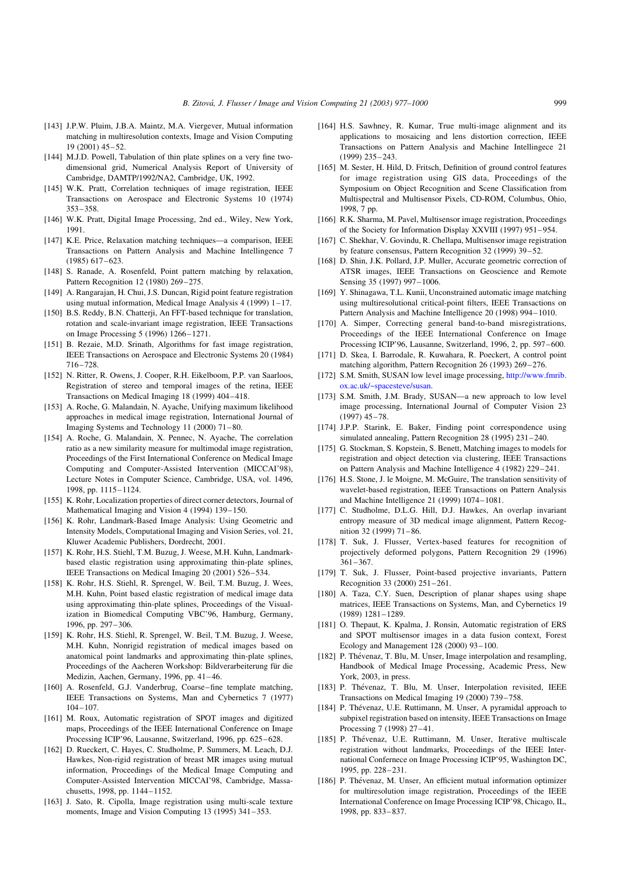- <span id="page-22-0"></span>[143] J.P.W. Pluim, J.B.A. Maintz, M.A. Viergever, Mutual information matching in multiresolution contexts, Image and Vision Computing 19 (2001) 45–52.
- [144] M.J.D. Powell, Tabulation of thin plate splines on a very fine twodimensional grid, Numerical Analysis Report of University of Cambridge, DAMTP/1992/NA2, Cambridge, UK, 1992.
- [145] W.K. Pratt, Correlation techniques of image registration, IEEE Transactions on Aerospace and Electronic Systems 10 (1974) 353–358.
- [146] W.K. Pratt, Digital Image Processing, 2nd ed., Wiley, New York, 1991.
- [147] K.E. Price, Relaxation matching techniques—a comparison, IEEE Transactions on Pattern Analysis and Machine Intellingence 7 (1985) 617–623.
- [148] S. Ranade, A. Rosenfeld, Point pattern matching by relaxation, Pattern Recognition 12 (1980) 269–275.
- [149] A. Rangarajan, H. Chui, J.S. Duncan, Rigid point feature registration using mutual information, Medical Image Analysis 4 (1999) 1–17.
- [150] B.S. Reddy, B.N. Chatterji, An FFT-based technique for translation, rotation and scale-invariant image registration, IEEE Transactions on Image Processing 5 (1996) 1266–1271.
- [151] B. Rezaie, M.D. Srinath, Algorithms for fast image registration, IEEE Transactions on Aerospace and Electronic Systems 20 (1984) 716–728.
- [152] N. Ritter, R. Owens, J. Cooper, R.H. Eikelboom, P.P. van Saarloos, Registration of stereo and temporal images of the retina, IEEE Transactions on Medical Imaging 18 (1999) 404–418.
- [153] A. Roche, G. Malandain, N. Ayache, Unifying maximum likelihood approaches in medical image registration, International Journal of Imaging Systems and Technology 11 (2000) 71–80.
- [154] A. Roche, G. Malandain, X. Pennec, N. Ayache, The correlation ratio as a new similarity measure for multimodal image registration, Proceedings of the First International Conference on Medical Image Computing and Computer-Assisted Intervention (MICCAI'98), Lecture Notes in Computer Science, Cambridge, USA, vol. 1496, 1998, pp. 1115–1124.
- [155] K. Rohr, Localization properties of direct corner detectors, Journal of Mathematical Imaging and Vision 4 (1994) 139–150.
- [156] K. Rohr, Landmark-Based Image Analysis: Using Geometric and Intensity Models, Computational Imaging and Vision Series, vol. 21, Kluwer Academic Publishers, Dordrecht, 2001.
- [157] K. Rohr, H.S. Stiehl, T.M. Buzug, J. Weese, M.H. Kuhn, Landmarkbased elastic registration using approximating thin-plate splines, IEEE Transactions on Medical Imaging 20 (2001) 526–534.
- [158] K. Rohr, H.S. Stiehl, R. Sprengel, W. Beil, T.M. Buzug, J. Wees, M.H. Kuhn, Point based elastic registration of medical image data using approximating thin-plate splines, Proceedings of the Visualization in Biomedical Computing VBC'96, Hamburg, Germany, 1996, pp. 297–306.
- [159] K. Rohr, H.S. Stiehl, R. Sprengel, W. Beil, T.M. Buzug, J. Weese, M.H. Kuhn, Nonrigid registration of medical images based on anatomical point landmarks and approximating thin-plate splines, Proceedings of the Aacheren Workshop: Bildverarbeiterung für die Medizin, Aachen, Germany, 1996, pp. 41–46.
- [160] A. Rosenfeld, G.J. Vanderbrug, Coarse-fine template matching, IEEE Transactions on Systems, Man and Cybernetics 7 (1977) 104–107.
- [161] M. Roux, Automatic registration of SPOT images and digitized maps, Proceedings of the IEEE International Conference on Image Processing ICIP'96, Lausanne, Switzerland, 1996, pp. 625–628.
- [162] D. Rueckert, C. Hayes, C. Studholme, P. Summers, M. Leach, D.J. Hawkes, Non-rigid registration of breast MR images using mutual information, Proceedings of the Medical Image Computing and Computer-Assisted Intervention MICCAI'98, Cambridge, Massachusetts, 1998, pp. 1144–1152.
- [163] J. Sato, R. Cipolla, Image registration using multi-scale texture moments, Image and Vision Computing 13 (1995) 341–353.
- [164] H.S. Sawhney, R. Kumar, True multi-image alignment and its applications to mosaicing and lens distortion correction, IEEE Transactions on Pattern Analysis and Machine Intellingece 21 (1999) 235–243.
- [165] M. Sester, H. Hild, D. Fritsch, Definition of ground control features for image registration using GIS data, Proceedings of the Symposium on Object Recognition and Scene Classification from Multispectral and Multisensor Pixels, CD-ROM, Columbus, Ohio, 1998, 7 pp.
- [166] R.K. Sharma, M. Pavel, Multisensor image registration, Proceedings of the Society for Information Display XXVIII (1997) 951–954.
- [167] C. Shekhar, V. Govindu, R. Chellapa, Multisensor image registration by feature consensus, Pattern Recognition 32 (1999) 39–52.
- [168] D. Shin, J.K. Pollard, J.P. Muller, Accurate geometric correction of ATSR images, IEEE Transactions on Geoscience and Remote Sensing 35 (1997) 997–1006.
- [169] Y. Shinagawa, T.L. Kunii, Unconstrained automatic image matching using multiresolutional critical-point filters, IEEE Transactions on Pattern Analysis and Machine Intelligence 20 (1998) 994–1010.
- [170] A. Simper, Correcting general band-to-band misregistrations, Proceedings of the IEEE International Conference on Image Processing ICIP'96, Lausanne, Switzerland, 1996, 2, pp. 597–600.
- [171] D. Skea, I. Barrodale, R. Kuwahara, R. Poeckert, A control point matching algorithm, Pattern Recognition 26 (1993) 269–276.
- [172] S.M. Smith, SUSAN low level image processing, [http://www.fmrib.](http://www.fmrib.ox.ac.uk/~spacesteve/susan) [ox.ac.uk/~spacesteve/susan](http://www.fmrib.ox.ac.uk/~spacesteve/susan).
- [173] S.M. Smith, J.M. Brady, SUSAN-a new approach to low level image processing, International Journal of Computer Vision 23 (1997) 45–78.
- [174] J.P.P. Starink, E. Baker, Finding point correspondence using simulated annealing, Pattern Recognition 28 (1995) 231–240.
- [175] G. Stockman, S. Kopstein, S. Benett, Matching images to models for registration and object detection via clustering, IEEE Transactions on Pattern Analysis and Machine Intelligence 4 (1982) 229–241.
- [176] H.S. Stone, J. le Moigne, M. McGuire, The translation sensitivity of wavelet-based registration, IEEE Transactions on Pattern Analysis and Machine Intelligence 21 (1999) 1074–1081.
- [177] C. Studholme, D.L.G. Hill, D.J. Hawkes, An overlap invariant entropy measure of 3D medical image alignment, Pattern Recognition 32 (1999) 71–86.
- [178] T. Suk, J. Flusser, Vertex-based features for recognition of projectively deformed polygons, Pattern Recognition 29 (1996) 361–367.
- [179] T. Suk, J. Flusser, Point-based projective invariants, Pattern Recognition 33 (2000) 251–261.
- [180] A. Taza, C.Y. Suen, Description of planar shapes using shape matrices, IEEE Transactions on Systems, Man, and Cybernetics 19 (1989) 1281–1289.
- [181] O. Thepaut, K. Kpalma, J. Ronsin, Automatic registration of ERS and SPOT multisensor images in a data fusion context, Forest Ecology and Management 128 (2000) 93–100.
- [182] P. Thévenaz, T. Blu, M. Unser, Image interpolation and resampling, Handbook of Medical Image Processing, Academic Press, New York, 2003, in press.
- [183] P. Thévenaz, T. Blu, M. Unser, Interpolation revisited, IEEE Transactions on Medical Imaging 19 (2000) 739–758.
- [184] P. Thévenaz, U.E. Ruttimann, M. Unser, A pyramidal approach to subpixel registration based on intensity, IEEE Transactions on Image Processing 7 (1998) 27–41.
- [185] P. Thévenaz, U.E. Ruttimann, M. Unser, Iterative multiscale registration without landmarks, Proceedings of the IEEE International Confernece on Image Processing ICIP'95, Washington DC, 1995, pp. 228–231.
- [186] P. Thévenaz, M. Unser, An efficient mutual information optimizer for multiresolution image registration, Proceedings of the IEEE International Conference on Image Processing ICIP'98, Chicago, IL, 1998, pp. 833–837.